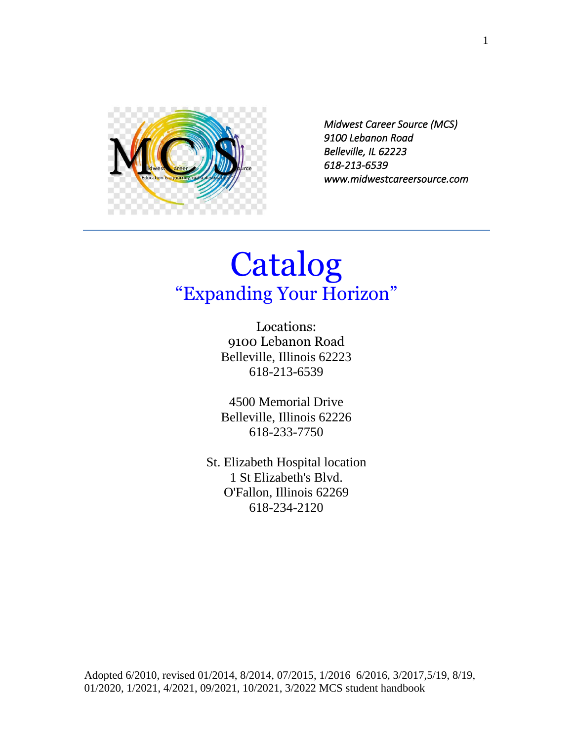

*Midwest Career Source (MCS) 9100 Lebanon Road Belleville, IL 62223 618-213-6539 www.midwestcareersource.com* 

# Catalog "Expanding Your Horizon"

Locations: 9100 Lebanon Road Belleville, Illinois 62223 618-213-6539

4500 Memorial Drive Belleville, Illinois 62226 618-233-7750

St. Elizabeth Hospital location 1 St Elizabeth's Blvd. O'Fallon, Illinois 62269 618-234-2120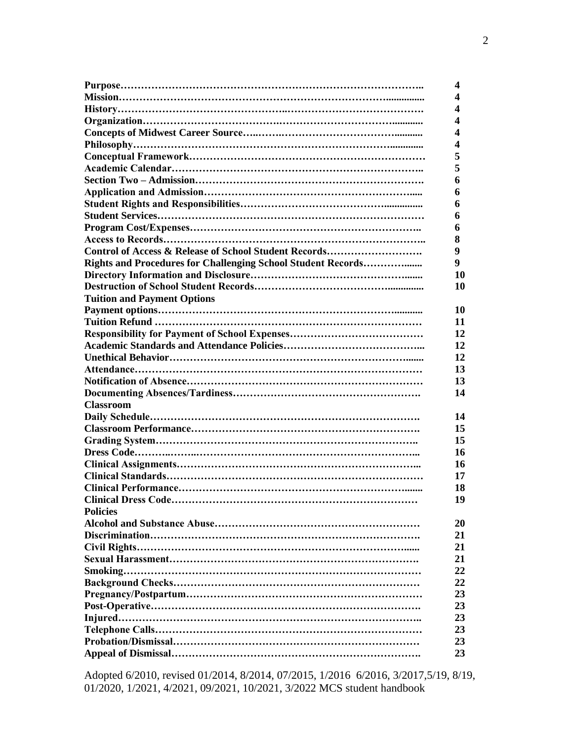|                                                              | 4         |
|--------------------------------------------------------------|-----------|
|                                                              | 4         |
|                                                              | 4         |
|                                                              | 4         |
|                                                              | 4         |
|                                                              | 4         |
|                                                              | 5         |
|                                                              | 5         |
|                                                              | 6         |
|                                                              | 6         |
|                                                              | 6         |
|                                                              | 6         |
|                                                              | 6         |
|                                                              | 8         |
| Control of Access & Release of School Student Records        | 9         |
| Rights and Procedures for Challenging School Student Records | 9         |
|                                                              | 10        |
|                                                              | 10        |
| <b>Tuition and Payment Options</b>                           |           |
|                                                              | 10        |
|                                                              | 11        |
|                                                              | 12        |
|                                                              | 12        |
|                                                              | 12        |
|                                                              | 13        |
|                                                              | 13        |
|                                                              | 14        |
| <b>Classroom</b>                                             |           |
|                                                              | 14        |
|                                                              | 15        |
|                                                              | 15        |
|                                                              | 16        |
|                                                              | 16        |
|                                                              | 17        |
|                                                              | 18        |
|                                                              | 19        |
| <b>Policies</b>                                              |           |
|                                                              | <b>20</b> |
|                                                              | 21        |
|                                                              | 21        |
|                                                              | 21        |
|                                                              | 22        |
|                                                              | 22        |
|                                                              | 23        |
|                                                              | 23        |
|                                                              | 23        |
|                                                              | 23        |
|                                                              | 23        |
|                                                              | 23        |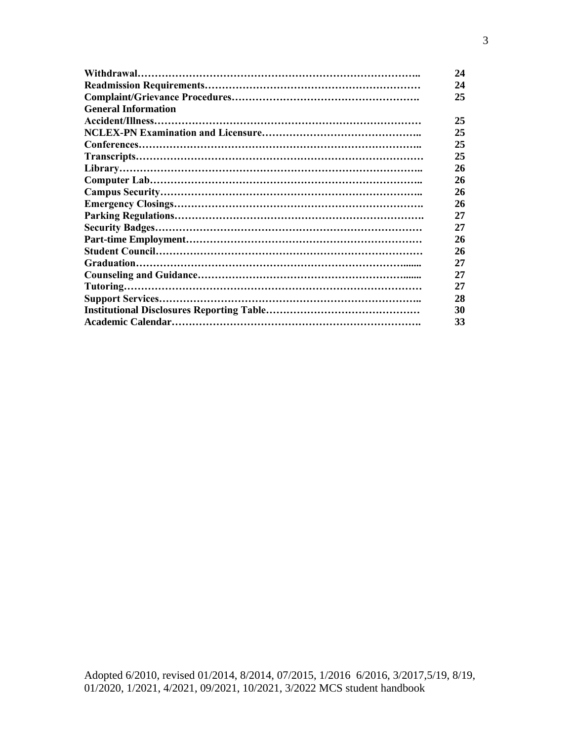|                            | 24 |
|----------------------------|----|
|                            | 24 |
|                            | 25 |
| <b>General Information</b> |    |
|                            | 25 |
|                            | 25 |
|                            | 25 |
|                            | 25 |
|                            | 26 |
|                            | 26 |
|                            | 26 |
|                            | 26 |
|                            | 27 |
|                            | 27 |
|                            | 26 |
|                            | 26 |
|                            | 27 |
|                            | 27 |
|                            | 27 |
|                            | 28 |
|                            | 30 |
|                            | 33 |
|                            |    |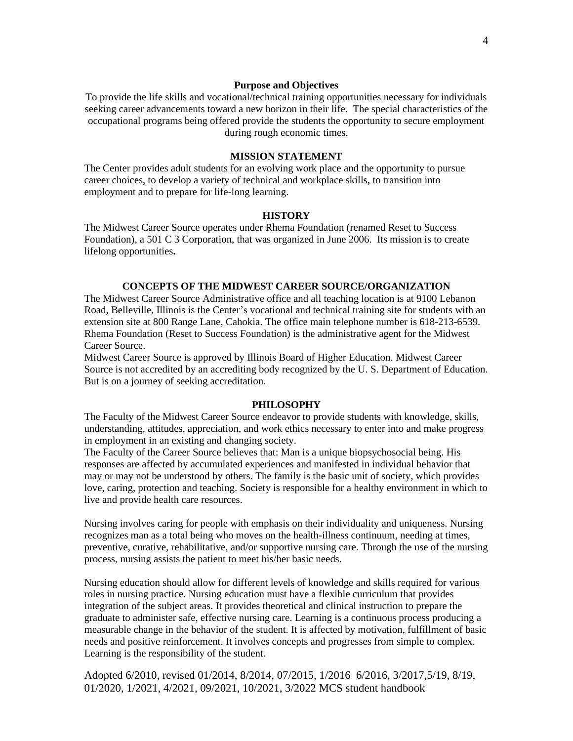#### **Purpose and Objectives**

To provide the life skills and vocational/technical training opportunities necessary for individuals seeking career advancements toward a new horizon in their life. The special characteristics of the occupational programs being offered provide the students the opportunity to secure employment during rough economic times.

#### **MISSION STATEMENT**

The Center provides adult students for an evolving work place and the opportunity to pursue career choices, to develop a variety of technical and workplace skills, to transition into employment and to prepare for life-long learning.

#### **HISTORY**

The Midwest Career Source operates under Rhema Foundation (renamed Reset to Success Foundation), a 501 C 3 Corporation, that was organized in June 2006. Its mission is to create lifelong opportunities**.**

#### **CONCEPTS OF THE MIDWEST CAREER SOURCE/ORGANIZATION**

The Midwest Career Source Administrative office and all teaching location is at 9100 Lebanon Road, Belleville, Illinois is the Center's vocational and technical training site for students with an extension site at 800 Range Lane, Cahokia. The office main telephone number is 618-213-6539. Rhema Foundation (Reset to Success Foundation) is the administrative agent for the Midwest Career Source.

Midwest Career Source is approved by Illinois Board of Higher Education. Midwest Career Source is not accredited by an accrediting body recognized by the U. S. Department of Education. But is on a journey of seeking accreditation.

#### **PHILOSOPHY**

The Faculty of the Midwest Career Source endeavor to provide students with knowledge, skills, understanding, attitudes, appreciation, and work ethics necessary to enter into and make progress in employment in an existing and changing society.

The Faculty of the Career Source believes that: Man is a unique biopsychosocial being. His responses are affected by accumulated experiences and manifested in individual behavior that may or may not be understood by others. The family is the basic unit of society, which provides love, caring, protection and teaching. Society is responsible for a healthy environment in which to live and provide health care resources.

Nursing involves caring for people with emphasis on their individuality and uniqueness. Nursing recognizes man as a total being who moves on the health-illness continuum, needing at times, preventive, curative, rehabilitative, and/or supportive nursing care. Through the use of the nursing process, nursing assists the patient to meet his/her basic needs.

Nursing education should allow for different levels of knowledge and skills required for various roles in nursing practice. Nursing education must have a flexible curriculum that provides integration of the subject areas. It provides theoretical and clinical instruction to prepare the graduate to administer safe, effective nursing care. Learning is a continuous process producing a measurable change in the behavior of the student. It is affected by motivation, fulfillment of basic needs and positive reinforcement. It involves concepts and progresses from simple to complex. Learning is the responsibility of the student.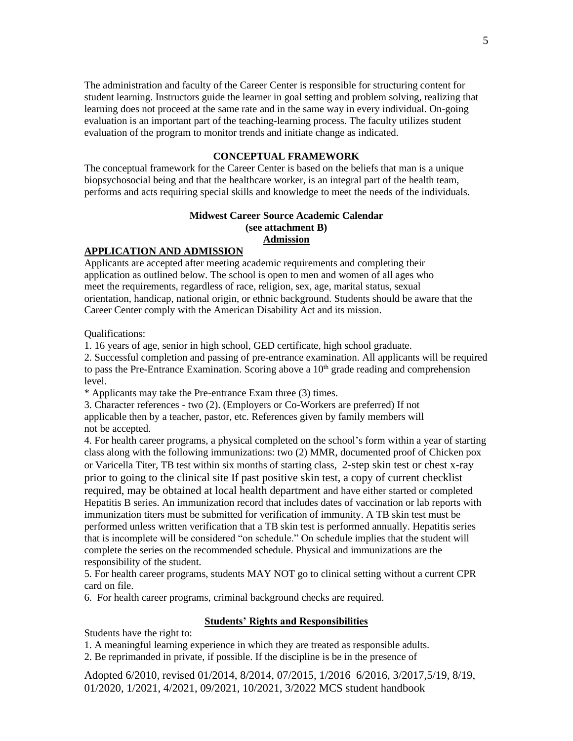The administration and faculty of the Career Center is responsible for structuring content for student learning. Instructors guide the learner in goal setting and problem solving, realizing that learning does not proceed at the same rate and in the same way in every individual. On-going evaluation is an important part of the teaching-learning process. The faculty utilizes student evaluation of the program to monitor trends and initiate change as indicated.

#### **CONCEPTUAL FRAMEWORK**

The conceptual framework for the Career Center is based on the beliefs that man is a unique biopsychosocial being and that the healthcare worker, is an integral part of the health team, performs and acts requiring special skills and knowledge to meet the needs of the individuals.

#### **Midwest Career Source Academic Calendar (see attachment B) Admission**

#### **APPLICATION AND ADMISSION**

Applicants are accepted after meeting academic requirements and completing their application as outlined below. The school is open to men and women of all ages who meet the requirements, regardless of race, religion, sex, age, marital status, sexual orientation, handicap, national origin, or ethnic background. Students should be aware that the Career Center comply with the American Disability Act and its mission.

Qualifications:

1. 16 years of age, senior in high school, GED certificate, high school graduate.

2. Successful completion and passing of pre-entrance examination. All applicants will be required to pass the Pre-Entrance Examination. Scoring above a  $10<sup>th</sup>$  grade reading and comprehension level.

\* Applicants may take the Pre-entrance Exam three (3) times.

3. Character references - two (2). (Employers or Co-Workers are preferred) If not applicable then by a teacher, pastor, etc. References given by family members will not be accepted.

4. For health career programs, a physical completed on the school's form within a year of starting class along with the following immunizations: two (2) MMR, documented proof of Chicken pox or Varicella Titer, TB test within six months of starting class, 2-step skin test or chest x-ray prior to going to the clinical site If past positive skin test, a copy of current checklist required, may be obtained at local health department and have either started or completed Hepatitis B series. An immunization record that includes dates of vaccination or lab reports with immunization titers must be submitted for verification of immunity. A TB skin test must be performed unless written verification that a TB skin test is performed annually. Hepatitis series that is incomplete will be considered "on schedule." On schedule implies that the student will complete the series on the recommended schedule. Physical and immunizations are the responsibility of the student.

5. For health career programs, students MAY NOT go to clinical setting without a current CPR card on file.

6. For health career programs, criminal background checks are required.

#### **Students' Rights and Responsibilities**

Students have the right to:

1. A meaningful learning experience in which they are treated as responsible adults.

2. Be reprimanded in private, if possible. If the discipline is be in the presence of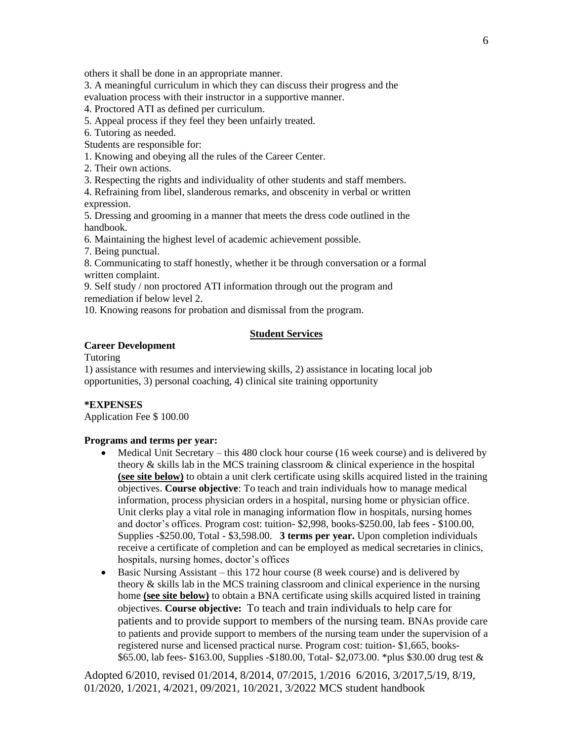others it shall be done in an appropriate manner.

3. A meaningful curriculum in which they can discuss their progress and the evaluation process with their instructor in a supportive manner.

4. Proctored ATI as defined per curriculum.

5. Appeal process if they feel they been unfairly treated.

6. Tutoring as needed.

Students are responsible for:

1. Knowing and obeying all the rules of the Career Center.

2. Their own actions.

3. Respecting the rights and individuality of other students and staff members.

4. Refraining from libel, slanderous remarks, and obscenity in verbal or written expression.

5. Dressing and grooming in a manner that meets the dress code outlined in the handbook.

6. Maintaining the highest level of academic achievement possible.

7. Being punctual.

8. Communicating to staff honestly, whether it be through conversation or a formal written complaint.

9. Self study / non proctored ATI information through out the program and remediation if below level 2.

10. Knowing reasons for probation and dismissal from the program.

#### **Student Services**

#### **Career Development**

Tutoring

1) assistance with resumes and interviewing skills, 2) assistance in locating local job opportunities, 3) personal coaching, 4) clinical site training opportunity

#### **\*EXPENSES**

Application Fee \$ 100.00

#### **Programs and terms per year:**

- Medical Unit Secretary this 480 clock hour course (16 week course) and is delivered by theory & skills lab in the MCS training classroom & clinical experience in the hospital **(see site below)** to obtain a unit clerk certificate using skills acquired listed in the training objectives. **Course objective**: To teach and train individuals how to manage medical information, process physician orders in a hospital, nursing home or physician office. Unit clerks play a vital role in managing information flow in hospitals, nursing homes and doctor's offices. Program cost: tuition- \$2,998, books-\$250.00, lab fees - \$100.00, Supplies -\$250.00, Total - \$3,598.00. **3 terms per year.** Upon completion individuals receive a certificate of completion and can be employed as medical secretaries in clinics, hospitals, nursing homes, doctor's offices
- Basic Nursing Assistant this 172 hour course (8 week course) and is delivered by theory & skills lab in the MCS training classroom and clinical experience in the nursing home **(see site below)** to obtain a BNA certificate using skills acquired listed in training objectives. **Course objective:** To teach and train individuals to help care for patients and to provide support to members of the nursing team. BNAs provide care to patients and provide support to members of the nursing team under the supervision of a registered nurse and licensed practical nurse. Program cost: tuition- \$1,665, books- \$65.00, lab fees- \$163.00, Supplies -\$180.00, Total- \$2,073.00. \*plus \$30.00 drug test &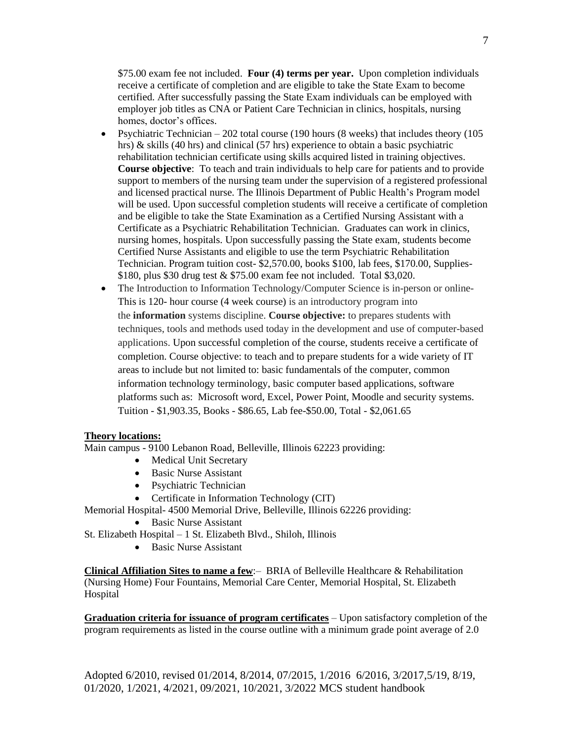\$75.00 exam fee not included. **Four (4) terms per year.** Upon completion individuals receive a certificate of completion and are eligible to take the State Exam to become certified. After successfully passing the State Exam individuals can be employed with employer job titles as CNA or Patient Care Technician in clinics, hospitals, nursing homes, doctor's offices.

- Psychiatric Technician  $-202$  total course (190 hours (8 weeks) that includes theory (105 hrs) & skills (40 hrs) and clinical (57 hrs) experience to obtain a basic psychiatric rehabilitation technician certificate using skills acquired listed in training objectives. **Course objective**: To teach and train individuals to help care for patients and to provide support to members of the nursing team under the supervision of a registered professional and licensed practical nurse. The Illinois Department of Public Health's Program model will be used. Upon successful completion students will receive a certificate of completion and be eligible to take the State Examination as a Certified Nursing Assistant with a Certificate as a Psychiatric Rehabilitation Technician. Graduates can work in clinics, nursing homes, hospitals. Upon successfully passing the State exam, students become Certified Nurse Assistants and eligible to use the term Psychiatric Rehabilitation Technician. Program tuition cost- \$2,570.00, books \$100, lab fees, \$170.00, Supplies- \$180, plus \$30 drug test & \$75.00 exam fee not included. Total \$3,020.
- The Introduction to Information Technology/Computer Science is in-person or online-This is 120- hour course (4 week course) is an introductory program into the **information** systems discipline. **Course objective:** to prepares students with techniques, tools and methods used today in the development and use of computer-based applications. Upon successful completion of the course, students receive a certificate of completion. Course objective: to teach and to prepare students for a wide variety of IT areas to include but not limited to: basic fundamentals of the computer, common information technology terminology, basic computer based applications, software platforms such as: Microsoft word, Excel, Power Point, Moodle and security systems. Tuition - \$1,903.35, Books - \$86.65, Lab fee-\$50.00, Total - \$2,061.65

#### **Theory locations:**

Main campus - 9100 Lebanon Road, Belleville, Illinois 62223 providing:

- Medical Unit Secretary
- Basic Nurse Assistant
- Psychiatric Technician
- Certificate in Information Technology (CIT)

Memorial Hospital- 4500 Memorial Drive, Belleville, Illinois 62226 providing:

- Basic Nurse Assistant
- St. Elizabeth Hospital 1 St. Elizabeth Blvd., Shiloh, Illinois
	- Basic Nurse Assistant

**Clinical Affiliation Sites to name a few**:– BRIA of Belleville Healthcare & Rehabilitation (Nursing Home) Four Fountains, Memorial Care Center, Memorial Hospital, St. Elizabeth Hospital

**Graduation criteria for issuance of program certificates** – Upon satisfactory completion of the program requirements as listed in the course outline with a minimum grade point average of 2.0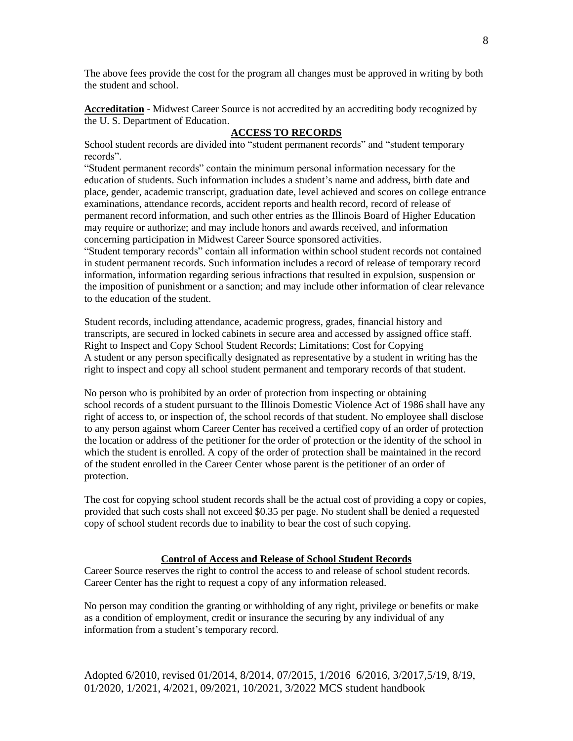The above fees provide the cost for the program all changes must be approved in writing by both the student and school.

**Accreditation** - Midwest Career Source is not accredited by an accrediting body recognized by the U. S. Department of Education.

#### **ACCESS TO RECORDS**

School student records are divided into "student permanent records" and "student temporary records".

"Student permanent records" contain the minimum personal information necessary for the education of students. Such information includes a student's name and address, birth date and place, gender, academic transcript, graduation date, level achieved and scores on college entrance examinations, attendance records, accident reports and health record, record of release of permanent record information, and such other entries as the Illinois Board of Higher Education may require or authorize; and may include honors and awards received, and information concerning participation in Midwest Career Source sponsored activities.

"Student temporary records" contain all information within school student records not contained in student permanent records. Such information includes a record of release of temporary record information, information regarding serious infractions that resulted in expulsion, suspension or the imposition of punishment or a sanction; and may include other information of clear relevance to the education of the student.

Student records, including attendance, academic progress, grades, financial history and transcripts, are secured in locked cabinets in secure area and accessed by assigned office staff. Right to Inspect and Copy School Student Records; Limitations; Cost for Copying A student or any person specifically designated as representative by a student in writing has the right to inspect and copy all school student permanent and temporary records of that student.

No person who is prohibited by an order of protection from inspecting or obtaining school records of a student pursuant to the Illinois Domestic Violence Act of 1986 shall have any right of access to, or inspection of, the school records of that student. No employee shall disclose to any person against whom Career Center has received a certified copy of an order of protection the location or address of the petitioner for the order of protection or the identity of the school in which the student is enrolled. A copy of the order of protection shall be maintained in the record of the student enrolled in the Career Center whose parent is the petitioner of an order of protection.

The cost for copying school student records shall be the actual cost of providing a copy or copies, provided that such costs shall not exceed \$0.35 per page. No student shall be denied a requested copy of school student records due to inability to bear the cost of such copying.

#### **Control of Access and Release of School Student Records**

Career Source reserves the right to control the access to and release of school student records. Career Center has the right to request a copy of any information released.

No person may condition the granting or withholding of any right, privilege or benefits or make as a condition of employment, credit or insurance the securing by any individual of any information from a student's temporary record.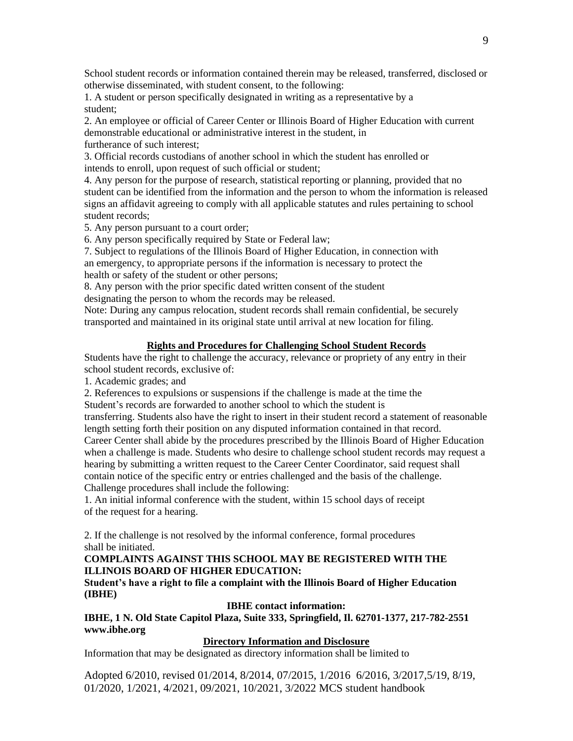School student records or information contained therein may be released, transferred, disclosed or otherwise disseminated, with student consent, to the following:

1. A student or person specifically designated in writing as a representative by a student;

2. An employee or official of Career Center or Illinois Board of Higher Education with current demonstrable educational or administrative interest in the student, in furtherance of such interest;

3. Official records custodians of another school in which the student has enrolled or intends to enroll, upon request of such official or student;

4. Any person for the purpose of research, statistical reporting or planning, provided that no student can be identified from the information and the person to whom the information is released signs an affidavit agreeing to comply with all applicable statutes and rules pertaining to school student records;

5. Any person pursuant to a court order;

6. Any person specifically required by State or Federal law;

7. Subject to regulations of the Illinois Board of Higher Education, in connection with an emergency, to appropriate persons if the information is necessary to protect the health or safety of the student or other persons;

8. Any person with the prior specific dated written consent of the student designating the person to whom the records may be released.

Note: During any campus relocation, student records shall remain confidential, be securely transported and maintained in its original state until arrival at new location for filing.

#### **Rights and Procedures for Challenging School Student Records**

Students have the right to challenge the accuracy, relevance or propriety of any entry in their school student records, exclusive of:

1. Academic grades; and

2. References to expulsions or suspensions if the challenge is made at the time the Student's records are forwarded to another school to which the student is

transferring. Students also have the right to insert in their student record a statement of reasonable length setting forth their position on any disputed information contained in that record.

Career Center shall abide by the procedures prescribed by the Illinois Board of Higher Education when a challenge is made. Students who desire to challenge school student records may request a hearing by submitting a written request to the Career Center Coordinator, said request shall contain notice of the specific entry or entries challenged and the basis of the challenge. Challenge procedures shall include the following:

1. An initial informal conference with the student, within 15 school days of receipt of the request for a hearing.

2. If the challenge is not resolved by the informal conference, formal procedures shall be initiated.

#### **COMPLAINTS AGAINST THIS SCHOOL MAY BE REGISTERED WITH THE ILLINOIS BOARD OF HIGHER EDUCATION:**

**Student's have a right to file a complaint with the Illinois Board of Higher Education (IBHE)**

#### **IBHE contact information:**

**IBHE, 1 N. Old State Capitol Plaza, Suite 333, Springfield, Il. 62701-1377, 217-782-2551 www.ibhe.org**

#### **Directory Information and Disclosure**

Information that may be designated as directory information shall be limited to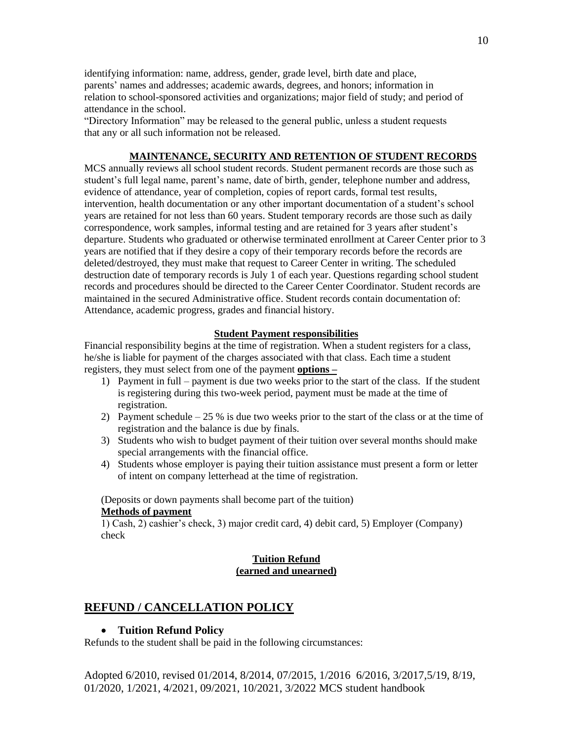identifying information: name, address, gender, grade level, birth date and place, parents' names and addresses; academic awards, degrees, and honors; information in relation to school-sponsored activities and organizations; major field of study; and period of attendance in the school.

"Directory Information" may be released to the general public, unless a student requests that any or all such information not be released.

#### **MAINTENANCE, SECURITY AND RETENTION OF STUDENT RECORDS**

MCS annually reviews all school student records. Student permanent records are those such as student's full legal name, parent's name, date of birth, gender, telephone number and address, evidence of attendance, year of completion, copies of report cards, formal test results, intervention, health documentation or any other important documentation of a student's school years are retained for not less than 60 years. Student temporary records are those such as daily correspondence, work samples, informal testing and are retained for 3 years after student's departure. Students who graduated or otherwise terminated enrollment at Career Center prior to 3 years are notified that if they desire a copy of their temporary records before the records are deleted/destroyed, they must make that request to Career Center in writing. The scheduled destruction date of temporary records is July 1 of each year. Questions regarding school student records and procedures should be directed to the Career Center Coordinator. Student records are maintained in the secured Administrative office. Student records contain documentation of: Attendance, academic progress, grades and financial history.

#### **Student Payment responsibilities**

Financial responsibility begins at the time of registration. When a student registers for a class, he/she is liable for payment of the charges associated with that class. Each time a student registers, they must select from one of the payment **options –**

- 1) Payment in full payment is due two weeks prior to the start of the class. If the student is registering during this two-week period, payment must be made at the time of registration.
- 2) Payment schedule 25 % is due two weeks prior to the start of the class or at the time of registration and the balance is due by finals.
- 3) Students who wish to budget payment of their tuition over several months should make special arrangements with the financial office.
- 4) Students whose employer is paying their tuition assistance must present a form or letter of intent on company letterhead at the time of registration.

(Deposits or down payments shall become part of the tuition) **Methods of payment**

1) Cash, 2) cashier's check, 3) major credit card, 4) debit card, 5) Employer (Company) check

#### **Tuition Refund (earned and unearned)**

#### **REFUND / CANCELLATION POLICY**

#### • **Tuition Refund Policy**

Refunds to the student shall be paid in the following circumstances: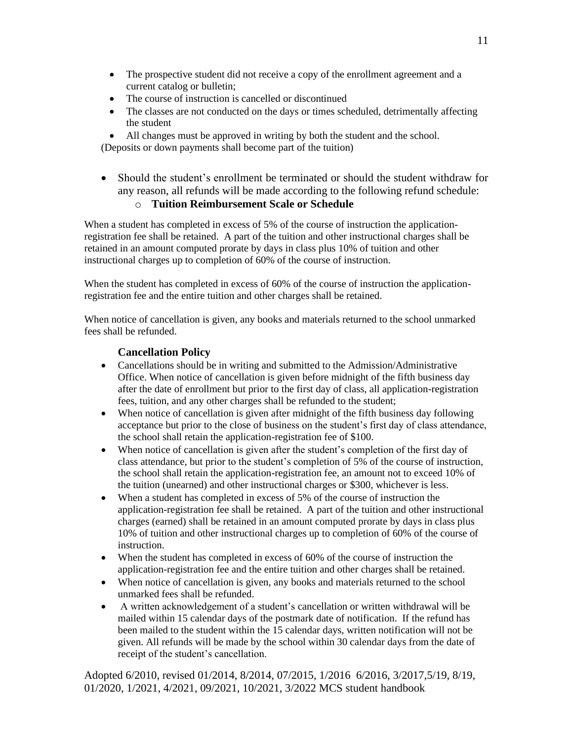- The prospective student did not receive a copy of the enrollment agreement and a current catalog or bulletin;
- The course of instruction is cancelled or discontinued
- The classes are not conducted on the days or times scheduled, detrimentally affecting the student
- All changes must be approved in writing by both the student and the school.

(Deposits or down payments shall become part of the tuition)

• Should the student's enrollment be terminated or should the student withdraw for any reason, all refunds will be made according to the following refund schedule:

## o **Tuition Reimbursement Scale or Schedule**

When a student has completed in excess of 5% of the course of instruction the applicationregistration fee shall be retained. A part of the tuition and other instructional charges shall be retained in an amount computed prorate by days in class plus 10% of tuition and other instructional charges up to completion of 60% of the course of instruction.

When the student has completed in excess of 60% of the course of instruction the applicationregistration fee and the entire tuition and other charges shall be retained.

When notice of cancellation is given, any books and materials returned to the school unmarked fees shall be refunded.

## **Cancellation Policy**

- Cancellations should be in writing and submitted to the Admission/Administrative Office. When notice of cancellation is given before midnight of the fifth business day after the date of enrollment but prior to the first day of class, all application-registration fees, tuition, and any other charges shall be refunded to the student;
- When notice of cancellation is given after midnight of the fifth business day following acceptance but prior to the close of business on the student's first day of class attendance, the school shall retain the application-registration fee of \$100.
- When notice of cancellation is given after the student's completion of the first day of class attendance, but prior to the student's completion of 5% of the course of instruction, the school shall retain the application-registration fee, an amount not to exceed 10% of the tuition (unearned) and other instructional charges or \$300, whichever is less.
- When a student has completed in excess of 5% of the course of instruction the application-registration fee shall be retained. A part of the tuition and other instructional charges (earned) shall be retained in an amount computed prorate by days in class plus 10% of tuition and other instructional charges up to completion of 60% of the course of instruction.
- When the student has completed in excess of 60% of the course of instruction the application-registration fee and the entire tuition and other charges shall be retained.
- When notice of cancellation is given, any books and materials returned to the school unmarked fees shall be refunded.
- A written acknowledgement of a student's cancellation or written withdrawal will be mailed within 15 calendar days of the postmark date of notification. If the refund has been mailed to the student within the 15 calendar days, written notification will not be given. All refunds will be made by the school within 30 calendar days from the date of receipt of the student's cancellation.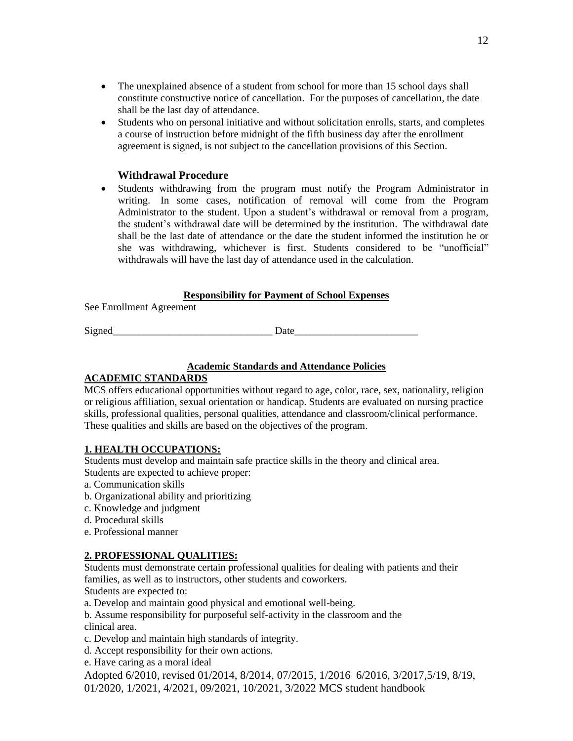- The unexplained absence of a student from school for more than 15 school days shall constitute constructive notice of cancellation. For the purposes of cancellation, the date shall be the last day of attendance.
- Students who on personal initiative and without solicitation enrolls, starts, and completes a course of instruction before midnight of the fifth business day after the enrollment agreement is signed, is not subject to the cancellation provisions of this Section.

#### **Withdrawal Procedure**

• Students withdrawing from the program must notify the Program Administrator in writing. In some cases, notification of removal will come from the Program Administrator to the student. Upon a student's withdrawal or removal from a program, the student's withdrawal date will be determined by the institution. The withdrawal date shall be the last date of attendance or the date the student informed the institution he or she was withdrawing, whichever is first. Students considered to be "unofficial" withdrawals will have the last day of attendance used in the calculation.

#### **Responsibility for Payment of School Expenses**

See Enrollment Agreement

Signed Date

#### **Academic Standards and Attendance Policies**

#### **ACADEMIC STANDARDS**

MCS offers educational opportunities without regard to age, color, race, sex, nationality, religion or religious affiliation, sexual orientation or handicap. Students are evaluated on nursing practice skills, professional qualities, personal qualities, attendance and classroom/clinical performance. These qualities and skills are based on the objectives of the program.

#### **1. HEALTH OCCUPATIONS:**

Students must develop and maintain safe practice skills in the theory and clinical area. Students are expected to achieve proper:

- a. Communication skills
- b. Organizational ability and prioritizing
- c. Knowledge and judgment
- d. Procedural skills
- e. Professional manner

### **2. PROFESSIONAL QUALITIES:**

Students must demonstrate certain professional qualities for dealing with patients and their families, as well as to instructors, other students and coworkers.

Students are expected to:

a. Develop and maintain good physical and emotional well-being.

b. Assume responsibility for purposeful self-activity in the classroom and the clinical area.

- c. Develop and maintain high standards of integrity.
- d. Accept responsibility for their own actions.
- e. Have caring as a moral ideal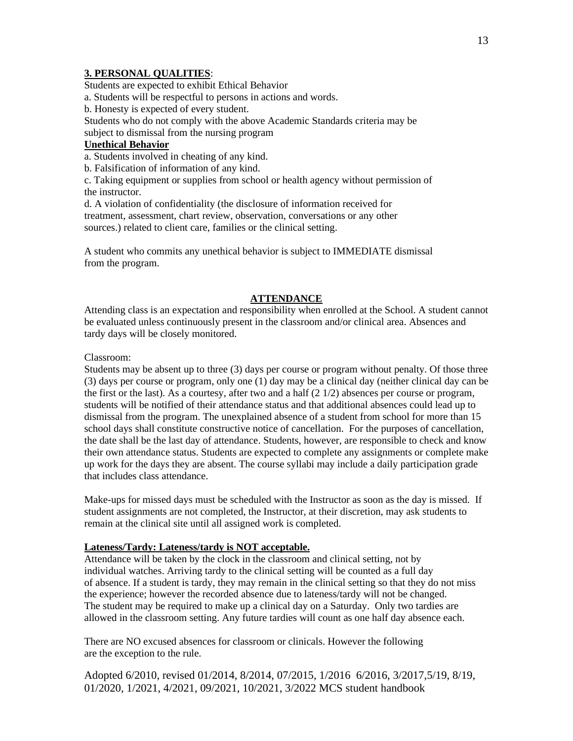# **3. PERSONAL QUALITIES**:

Students are expected to exhibit Ethical Behavior

a. Students will be respectful to persons in actions and words.

b. Honesty is expected of every student.

Students who do not comply with the above Academic Standards criteria may be subject to dismissal from the nursing program

#### **Unethical Behavior**

a. Students involved in cheating of any kind.

b. Falsification of information of any kind.

c. Taking equipment or supplies from school or health agency without permission of the instructor.

d. A violation of confidentiality (the disclosure of information received for treatment, assessment, chart review, observation, conversations or any other sources.) related to client care, families or the clinical setting.

A student who commits any unethical behavior is subject to IMMEDIATE dismissal from the program.

#### **ATTENDANCE**

Attending class is an expectation and responsibility when enrolled at the School. A student cannot be evaluated unless continuously present in the classroom and/or clinical area. Absences and tardy days will be closely monitored.

#### Classroom:

Students may be absent up to three (3) days per course or program without penalty. Of those three (3) days per course or program, only one (1) day may be a clinical day (neither clinical day can be the first or the last). As a courtesy, after two and a half  $(2 \frac{1}{2})$  absences per course or program, students will be notified of their attendance status and that additional absences could lead up to dismissal from the program. The unexplained absence of a student from school for more than 15 school days shall constitute constructive notice of cancellation. For the purposes of cancellation, the date shall be the last day of attendance. Students, however, are responsible to check and know their own attendance status. Students are expected to complete any assignments or complete make up work for the days they are absent. The course syllabi may include a daily participation grade that includes class attendance.

Make-ups for missed days must be scheduled with the Instructor as soon as the day is missed. If student assignments are not completed, the Instructor, at their discretion, may ask students to remain at the clinical site until all assigned work is completed.

#### **Lateness/Tardy: Lateness/tardy is NOT acceptable.**

Attendance will be taken by the clock in the classroom and clinical setting, not by individual watches. Arriving tardy to the clinical setting will be counted as a full day of absence. If a student is tardy, they may remain in the clinical setting so that they do not miss the experience; however the recorded absence due to lateness/tardy will not be changed. The student may be required to make up a clinical day on a Saturday. Only two tardies are allowed in the classroom setting. Any future tardies will count as one half day absence each.

There are NO excused absences for classroom or clinicals. However the following are the exception to the rule.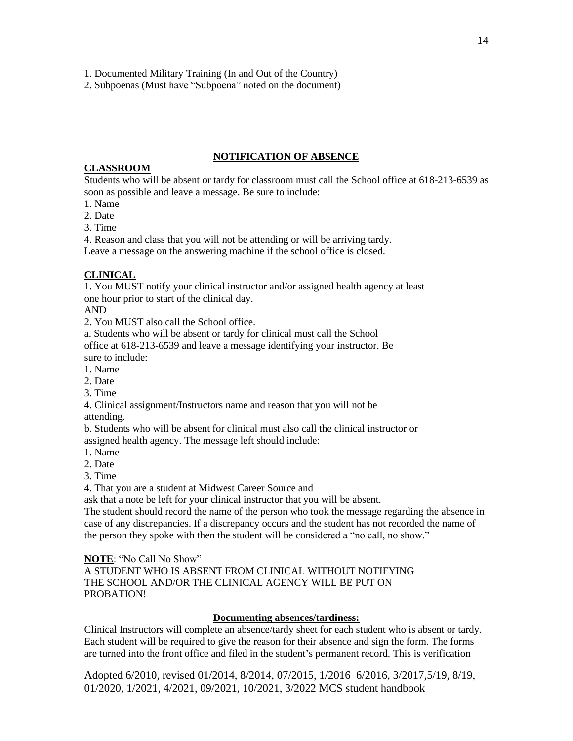1. Documented Military Training (In and Out of the Country)

2. Subpoenas (Must have "Subpoena" noted on the document)

#### **NOTIFICATION OF ABSENCE**

#### **CLASSROOM**

Students who will be absent or tardy for classroom must call the School office at 618-213-6539 as soon as possible and leave a message. Be sure to include:

1. Name

2. Date

3. Time

4. Reason and class that you will not be attending or will be arriving tardy.

Leave a message on the answering machine if the school office is closed.

### **CLINICAL**

1. You MUST notify your clinical instructor and/or assigned health agency at least one hour prior to start of the clinical day.

AND

2. You MUST also call the School office.

a. Students who will be absent or tardy for clinical must call the School office at 618-213-6539 and leave a message identifying your instructor. Be sure to include:

1. Name

2. Date

3. Time

4. Clinical assignment/Instructors name and reason that you will not be attending.

b. Students who will be absent for clinical must also call the clinical instructor or assigned health agency. The message left should include:

1. Name

2. Date

3. Time

4. That you are a student at Midwest Career Source and

ask that a note be left for your clinical instructor that you will be absent.

The student should record the name of the person who took the message regarding the absence in case of any discrepancies. If a discrepancy occurs and the student has not recorded the name of the person they spoke with then the student will be considered a "no call, no show."

**NOTE**: "No Call No Show"

A STUDENT WHO IS ABSENT FROM CLINICAL WITHOUT NOTIFYING THE SCHOOL AND/OR THE CLINICAL AGENCY WILL BE PUT ON PROBATION!

#### **Documenting absences/tardiness:**

Clinical Instructors will complete an absence/tardy sheet for each student who is absent or tardy. Each student will be required to give the reason for their absence and sign the form. The forms are turned into the front office and filed in the student's permanent record. This is verification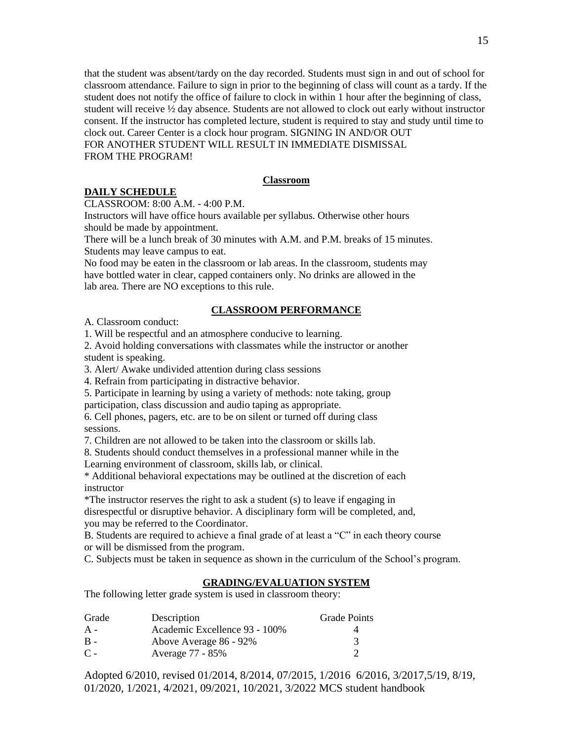that the student was absent/tardy on the day recorded. Students must sign in and out of school for classroom attendance. Failure to sign in prior to the beginning of class will count as a tardy. If the student does not notify the office of failure to clock in within 1 hour after the beginning of class, student will receive ½ day absence. Students are not allowed to clock out early without instructor consent. If the instructor has completed lecture, student is required to stay and study until time to clock out. Career Center is a clock hour program. SIGNING IN AND/OR OUT FOR ANOTHER STUDENT WILL RESULT IN IMMEDIATE DISMISSAL

FROM THE PROGRAM!

#### **Classroom**

#### **DAILY SCHEDULE**

CLASSROOM: 8:00 A.M. - 4:00 P.M.

Instructors will have office hours available per syllabus. Otherwise other hours should be made by appointment.

There will be a lunch break of 30 minutes with A.M. and P.M. breaks of 15 minutes. Students may leave campus to eat.

No food may be eaten in the classroom or lab areas. In the classroom, students may have bottled water in clear, capped containers only. No drinks are allowed in the lab area. There are NO exceptions to this rule.

#### **CLASSROOM PERFORMANCE**

A. Classroom conduct:

1. Will be respectful and an atmosphere conducive to learning.

2. Avoid holding conversations with classmates while the instructor or another student is speaking.

3. Alert/ Awake undivided attention during class sessions

4. Refrain from participating in distractive behavior.

5. Participate in learning by using a variety of methods: note taking, group participation, class discussion and audio taping as appropriate.

6. Cell phones, pagers, etc. are to be on silent or turned off during class sessions.

7. Children are not allowed to be taken into the classroom or skills lab.

8. Students should conduct themselves in a professional manner while in the

Learning environment of classroom, skills lab, or clinical.

\* Additional behavioral expectations may be outlined at the discretion of each instructor

\*The instructor reserves the right to ask a student (s) to leave if engaging in disrespectful or disruptive behavior. A disciplinary form will be completed, and, you may be referred to the Coordinator.

B. Students are required to achieve a final grade of at least a "C" in each theory course or will be dismissed from the program.

C. Subjects must be taken in sequence as shown in the curriculum of the School's program.

### **GRADING/EVALUATION SYSTEM**

The following letter grade system is used in classroom theory:

| Grade | Description                   | <b>Grade Points</b> |
|-------|-------------------------------|---------------------|
| $A -$ | Academic Excellence 93 - 100% | 4                   |
| B -   | Above Average 86 - 92%        | 3                   |
| $C -$ | Average 77 - 85%              |                     |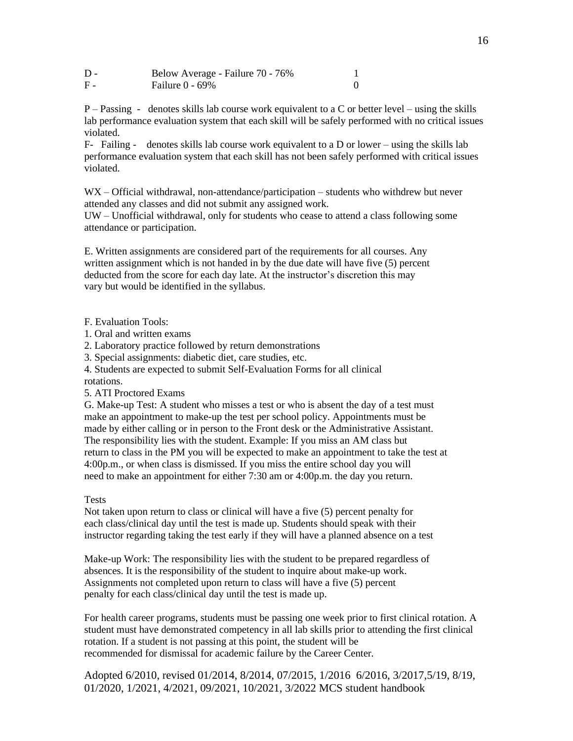| $D -$ | Below Average - Failure 70 - 76% |  |
|-------|----------------------------------|--|
| F -   | Failure $0 - 69\%$               |  |

 $P -$ Passing - denotes skills lab course work equivalent to a C or better level – using the skills lab performance evaluation system that each skill will be safely performed with no critical issues violated.

 $F-$  Failing - denotes skills lab course work equivalent to a D or lower – using the skills lab performance evaluation system that each skill has not been safely performed with critical issues violated.

WX – Official withdrawal, non-attendance/participation – students who withdrew but never attended any classes and did not submit any assigned work.

UW – Unofficial withdrawal, only for students who cease to attend a class following some attendance or participation.

E. Written assignments are considered part of the requirements for all courses. Any written assignment which is not handed in by the due date will have five (5) percent deducted from the score for each day late. At the instructor's discretion this may vary but would be identified in the syllabus.

F. Evaluation Tools:

1. Oral and written exams

2. Laboratory practice followed by return demonstrations

3. Special assignments: diabetic diet, care studies, etc.

4. Students are expected to submit Self-Evaluation Forms for all clinical rotations.

5. ATI Proctored Exams

G. Make-up Test: A student who misses a test or who is absent the day of a test must make an appointment to make-up the test per school policy. Appointments must be made by either calling or in person to the Front desk or the Administrative Assistant. The responsibility lies with the student. Example: If you miss an AM class but return to class in the PM you will be expected to make an appointment to take the test at 4:00p.m., or when class is dismissed. If you miss the entire school day you will need to make an appointment for either 7:30 am or 4:00p.m. the day you return.

#### **Tests**

Not taken upon return to class or clinical will have a five (5) percent penalty for each class/clinical day until the test is made up. Students should speak with their instructor regarding taking the test early if they will have a planned absence on a test

Make-up Work: The responsibility lies with the student to be prepared regardless of absences. It is the responsibility of the student to inquire about make-up work. Assignments not completed upon return to class will have a five (5) percent penalty for each class/clinical day until the test is made up.

For health career programs, students must be passing one week prior to first clinical rotation. A student must have demonstrated competency in all lab skills prior to attending the first clinical rotation. If a student is not passing at this point, the student will be recommended for dismissal for academic failure by the Career Center*.*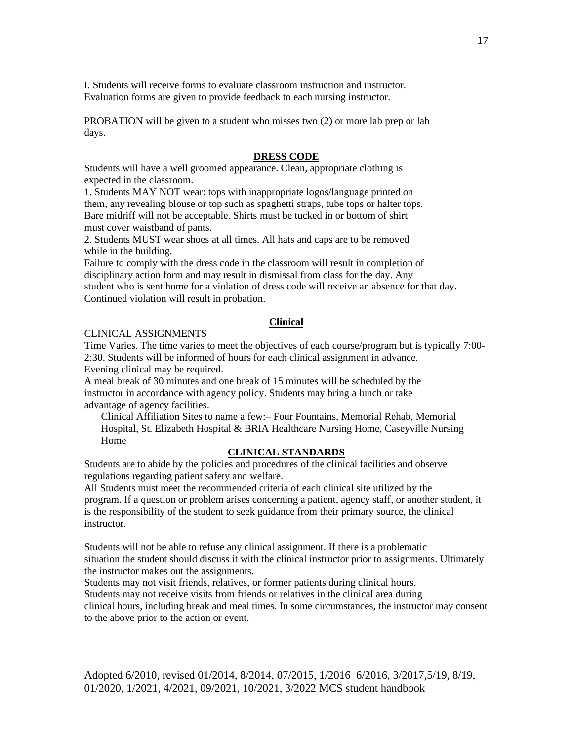I. Students will receive forms to evaluate classroom instruction and instructor. Evaluation forms are given to provide feedback to each nursing instructor.

PROBATION will be given to a student who misses two (2) or more lab prep or lab days.

#### **DRESS CODE**

Students will have a well groomed appearance. Clean, appropriate clothing is expected in the classroom.

1. Students MAY NOT wear: tops with inappropriate logos/language printed on them, any revealing blouse or top such as spaghetti straps, tube tops or halter tops. Bare midriff will not be acceptable. Shirts must be tucked in or bottom of shirt must cover waistband of pants.

2. Students MUST wear shoes at all times. All hats and caps are to be removed while in the building.

Failure to comply with the dress code in the classroom will result in completion of disciplinary action form and may result in dismissal from class for the day. Any student who is sent home for a violation of dress code will receive an absence for that day. Continued violation will result in probation.

#### **Clinical**

#### CLINICAL ASSIGNMENTS

Time Varies. The time varies to meet the objectives of each course/program but is typically 7:00- 2:30. Students will be informed of hours for each clinical assignment in advance. Evening clinical may be required.

A meal break of 30 minutes and one break of 15 minutes will be scheduled by the instructor in accordance with agency policy. Students may bring a lunch or take advantage of agency facilities.

Clinical Affiliation Sites to name a few:– Four Fountains, Memorial Rehab, Memorial Hospital, St. Elizabeth Hospital & BRIA Healthcare Nursing Home, Caseyville Nursing Home

#### **CLINICAL STANDARDS**

Students are to abide by the policies and procedures of the clinical facilities and observe regulations regarding patient safety and welfare.

All Students must meet the recommended criteria of each clinical site utilized by the program. If a question or problem arises concerning a patient, agency staff, or another student, it is the responsibility of the student to seek guidance from their primary source, the clinical instructor.

Students will not be able to refuse any clinical assignment. If there is a problematic situation the student should discuss it with the clinical instructor prior to assignments. Ultimately the instructor makes out the assignments.

Students may not visit friends, relatives, or former patients during clinical hours.

Students may not receive visits from friends or relatives in the clinical area during

clinical hours, including break and meal times. In some circumstances, the instructor may consent to the above prior to the action or event.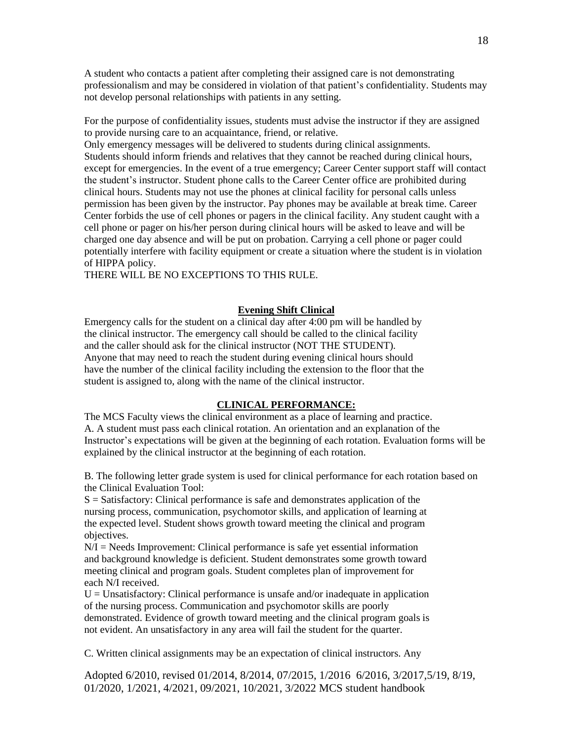A student who contacts a patient after completing their assigned care is not demonstrating professionalism and may be considered in violation of that patient's confidentiality. Students may not develop personal relationships with patients in any setting.

For the purpose of confidentiality issues, students must advise the instructor if they are assigned to provide nursing care to an acquaintance, friend, or relative.

Only emergency messages will be delivered to students during clinical assignments. Students should inform friends and relatives that they cannot be reached during clinical hours, except for emergencies. In the event of a true emergency; Career Center support staff will contact the student's instructor. Student phone calls to the Career Center office are prohibited during clinical hours. Students may not use the phones at clinical facility for personal calls unless permission has been given by the instructor. Pay phones may be available at break time. Career Center forbids the use of cell phones or pagers in the clinical facility. Any student caught with a cell phone or pager on his/her person during clinical hours will be asked to leave and will be charged one day absence and will be put on probation. Carrying a cell phone or pager could potentially interfere with facility equipment or create a situation where the student is in violation of HIPPA policy.

THERE WILL BE NO EXCEPTIONS TO THIS RULE.

#### **Evening Shift Clinical**

Emergency calls for the student on a clinical day after 4:00 pm will be handled by the clinical instructor. The emergency call should be called to the clinical facility and the caller should ask for the clinical instructor (NOT THE STUDENT). Anyone that may need to reach the student during evening clinical hours should have the number of the clinical facility including the extension to the floor that the student is assigned to, along with the name of the clinical instructor.

#### **CLINICAL PERFORMANCE:**

The MCS Faculty views the clinical environment as a place of learning and practice. A. A student must pass each clinical rotation. An orientation and an explanation of the Instructor's expectations will be given at the beginning of each rotation. Evaluation forms will be explained by the clinical instructor at the beginning of each rotation.

B. The following letter grade system is used for clinical performance for each rotation based on the Clinical Evaluation Tool:

 $S =$  Satisfactory: Clinical performance is safe and demonstrates application of the nursing process, communication, psychomotor skills, and application of learning at the expected level. Student shows growth toward meeting the clinical and program objectives.

 $N/I = Needs$  Improvement: Clinical performance is safe yet essential information and background knowledge is deficient. Student demonstrates some growth toward meeting clinical and program goals. Student completes plan of improvement for each N/I received.

 $U =$  Unsatisfactory: Clinical performance is unsafe and/or inadequate in application of the nursing process. Communication and psychomotor skills are poorly demonstrated. Evidence of growth toward meeting and the clinical program goals is not evident. An unsatisfactory in any area will fail the student for the quarter.

C. Written clinical assignments may be an expectation of clinical instructors. Any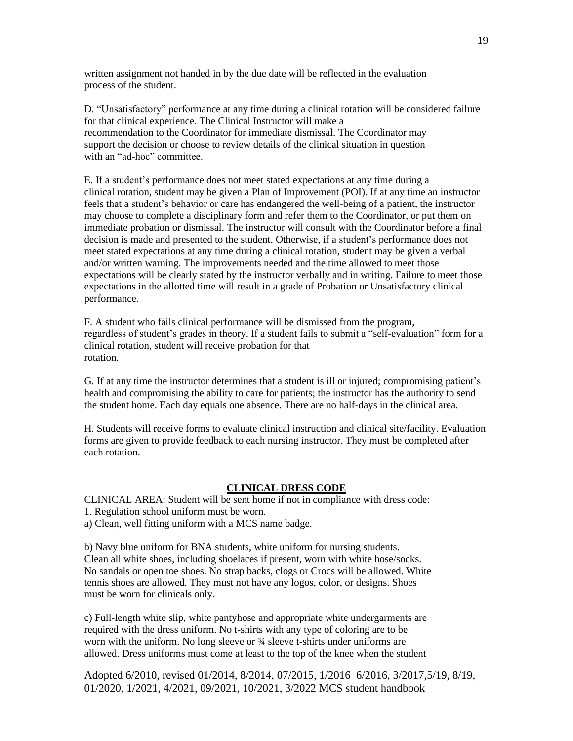written assignment not handed in by the due date will be reflected in the evaluation process of the student.

D. "Unsatisfactory" performance at any time during a clinical rotation will be considered failure for that clinical experience. The Clinical Instructor will make a recommendation to the Coordinator for immediate dismissal. The Coordinator may support the decision or choose to review details of the clinical situation in question with an "ad-hoc" committee.

E. If a student's performance does not meet stated expectations at any time during a clinical rotation, student may be given a Plan of Improvement (POI). If at any time an instructor feels that a student's behavior or care has endangered the well-being of a patient, the instructor may choose to complete a disciplinary form and refer them to the Coordinator, or put them on immediate probation or dismissal. The instructor will consult with the Coordinator before a final decision is made and presented to the student. Otherwise, if a student's performance does not meet stated expectations at any time during a clinical rotation, student may be given a verbal and/or written warning. The improvements needed and the time allowed to meet those expectations will be clearly stated by the instructor verbally and in writing. Failure to meet those expectations in the allotted time will result in a grade of Probation or Unsatisfactory clinical performance.

F. A student who fails clinical performance will be dismissed from the program, regardless of student's grades in theory. If a student fails to submit a "self-evaluation" form for a clinical rotation, student will receive probation for that rotation.

G. If at any time the instructor determines that a student is ill or injured; compromising patient's health and compromising the ability to care for patients; the instructor has the authority to send the student home. Each day equals one absence. There are no half-days in the clinical area.

H. Students will receive forms to evaluate clinical instruction and clinical site/facility. Evaluation forms are given to provide feedback to each nursing instructor. They must be completed after each rotation.

#### **CLINICAL DRESS CODE**

CLINICAL AREA: Student will be sent home if not in compliance with dress code:

- 1. Regulation school uniform must be worn.
- a) Clean, well fitting uniform with a MCS name badge.

b) Navy blue uniform for BNA students, white uniform for nursing students. Clean all white shoes, including shoelaces if present, worn with white hose/socks. No sandals or open toe shoes. No strap backs, clogs or Crocs will be allowed. White tennis shoes are allowed. They must not have any logos, color, or designs. Shoes must be worn for clinicals only.

c) Full-length white slip, white pantyhose and appropriate white undergarments are required with the dress uniform. No t-shirts with any type of coloring are to be worn with the uniform. No long sleeve or  $\frac{3}{4}$  sleeve t-shirts under uniforms are allowed. Dress uniforms must come at least to the top of the knee when the student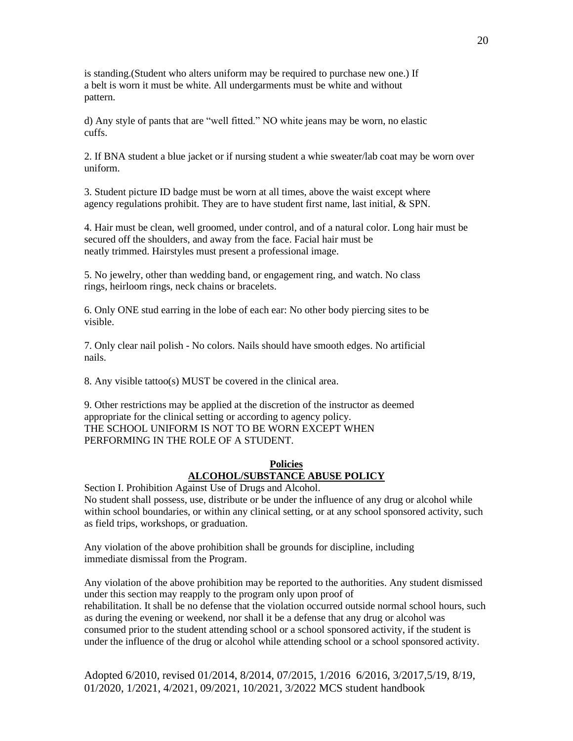is standing.(Student who alters uniform may be required to purchase new one.) If a belt is worn it must be white. All undergarments must be white and without pattern.

d) Any style of pants that are "well fitted." NO white jeans may be worn, no elastic cuffs.

2. If BNA student a blue jacket or if nursing student a whie sweater/lab coat may be worn over uniform.

3. Student picture ID badge must be worn at all times, above the waist except where agency regulations prohibit. They are to have student first name, last initial, & SPN.

4. Hair must be clean, well groomed, under control, and of a natural color. Long hair must be secured off the shoulders, and away from the face. Facial hair must be neatly trimmed. Hairstyles must present a professional image.

5. No jewelry, other than wedding band, or engagement ring, and watch. No class rings, heirloom rings, neck chains or bracelets.

6. Only ONE stud earring in the lobe of each ear: No other body piercing sites to be visible.

7. Only clear nail polish - No colors. Nails should have smooth edges. No artificial nails.

8. Any visible tattoo(s) MUST be covered in the clinical area.

9. Other restrictions may be applied at the discretion of the instructor as deemed appropriate for the clinical setting or according to agency policy. THE SCHOOL UNIFORM IS NOT TO BE WORN EXCEPT WHEN PERFORMING IN THE ROLE OF A STUDENT.

#### **Policies ALCOHOL/SUBSTANCE ABUSE POLICY**

Section I. Prohibition Against Use of Drugs and Alcohol. No student shall possess, use, distribute or be under the influence of any drug or alcohol while within school boundaries, or within any clinical setting, or at any school sponsored activity, such as field trips, workshops, or graduation.

Any violation of the above prohibition shall be grounds for discipline, including immediate dismissal from the Program.

Any violation of the above prohibition may be reported to the authorities. Any student dismissed under this section may reapply to the program only upon proof of rehabilitation. It shall be no defense that the violation occurred outside normal school hours, such as during the evening or weekend, nor shall it be a defense that any drug or alcohol was consumed prior to the student attending school or a school sponsored activity, if the student is under the influence of the drug or alcohol while attending school or a school sponsored activity.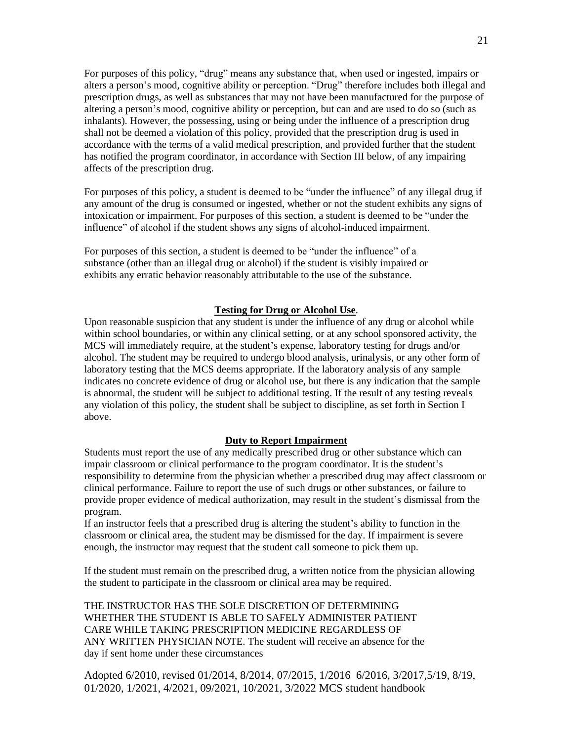For purposes of this policy, "drug" means any substance that, when used or ingested, impairs or alters a person's mood, cognitive ability or perception. "Drug" therefore includes both illegal and prescription drugs, as well as substances that may not have been manufactured for the purpose of altering a person's mood, cognitive ability or perception, but can and are used to do so (such as inhalants). However, the possessing, using or being under the influence of a prescription drug shall not be deemed a violation of this policy, provided that the prescription drug is used in accordance with the terms of a valid medical prescription, and provided further that the student has notified the program coordinator, in accordance with Section III below, of any impairing affects of the prescription drug.

For purposes of this policy, a student is deemed to be "under the influence" of any illegal drug if any amount of the drug is consumed or ingested, whether or not the student exhibits any signs of intoxication or impairment. For purposes of this section, a student is deemed to be "under the influence" of alcohol if the student shows any signs of alcohol-induced impairment.

For purposes of this section, a student is deemed to be "under the influence" of a substance (other than an illegal drug or alcohol) if the student is visibly impaired or exhibits any erratic behavior reasonably attributable to the use of the substance.

#### **Testing for Drug or Alcohol Use**.

Upon reasonable suspicion that any student is under the influence of any drug or alcohol while within school boundaries, or within any clinical setting, or at any school sponsored activity, the MCS will immediately require, at the student's expense, laboratory testing for drugs and/or alcohol. The student may be required to undergo blood analysis, urinalysis, or any other form of laboratory testing that the MCS deems appropriate. If the laboratory analysis of any sample indicates no concrete evidence of drug or alcohol use, but there is any indication that the sample is abnormal, the student will be subject to additional testing. If the result of any testing reveals any violation of this policy, the student shall be subject to discipline, as set forth in Section I above.

#### **Duty to Report Impairment**

Students must report the use of any medically prescribed drug or other substance which can impair classroom or clinical performance to the program coordinator. It is the student's responsibility to determine from the physician whether a prescribed drug may affect classroom or clinical performance. Failure to report the use of such drugs or other substances, or failure to provide proper evidence of medical authorization, may result in the student's dismissal from the program.

If an instructor feels that a prescribed drug is altering the student's ability to function in the classroom or clinical area, the student may be dismissed for the day. If impairment is severe enough, the instructor may request that the student call someone to pick them up.

If the student must remain on the prescribed drug, a written notice from the physician allowing the student to participate in the classroom or clinical area may be required.

THE INSTRUCTOR HAS THE SOLE DISCRETION OF DETERMINING WHETHER THE STUDENT IS ABLE TO SAFELY ADMINISTER PATIENT CARE WHILE TAKING PRESCRIPTION MEDICINE REGARDLESS OF ANY WRITTEN PHYSICIAN NOTE. The student will receive an absence for the day if sent home under these circumstances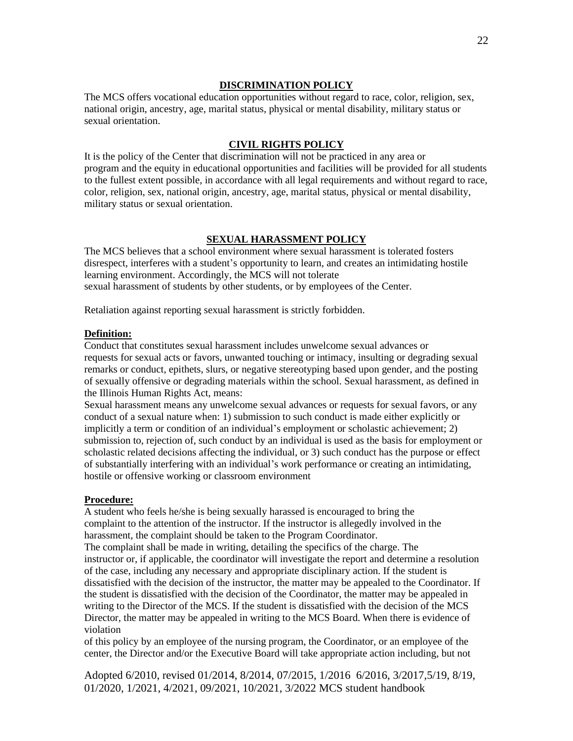#### **DISCRIMINATION POLICY**

The MCS offers vocational education opportunities without regard to race, color, religion, sex, national origin, ancestry, age, marital status, physical or mental disability, military status or sexual orientation.

#### **CIVIL RIGHTS POLICY**

It is the policy of the Center that discrimination will not be practiced in any area or program and the equity in educational opportunities and facilities will be provided for all students to the fullest extent possible, in accordance with all legal requirements and without regard to race, color, religion, sex, national origin, ancestry, age, marital status, physical or mental disability, military status or sexual orientation.

#### **SEXUAL HARASSMENT POLICY**

The MCS believes that a school environment where sexual harassment is tolerated fosters disrespect, interferes with a student's opportunity to learn, and creates an intimidating hostile learning environment. Accordingly, the MCS will not tolerate sexual harassment of students by other students, or by employees of the Center.

Retaliation against reporting sexual harassment is strictly forbidden.

#### **Definition:**

Conduct that constitutes sexual harassment includes unwelcome sexual advances or requests for sexual acts or favors, unwanted touching or intimacy, insulting or degrading sexual remarks or conduct, epithets, slurs, or negative stereotyping based upon gender, and the posting of sexually offensive or degrading materials within the school. Sexual harassment, as defined in the Illinois Human Rights Act, means:

Sexual harassment means any unwelcome sexual advances or requests for sexual favors, or any conduct of a sexual nature when: 1) submission to such conduct is made either explicitly or implicitly a term or condition of an individual's employment or scholastic achievement; 2) submission to, rejection of, such conduct by an individual is used as the basis for employment or scholastic related decisions affecting the individual, or 3) such conduct has the purpose or effect of substantially interfering with an individual's work performance or creating an intimidating, hostile or offensive working or classroom environment

#### **Procedure:**

A student who feels he/she is being sexually harassed is encouraged to bring the complaint to the attention of the instructor. If the instructor is allegedly involved in the harassment, the complaint should be taken to the Program Coordinator. The complaint shall be made in writing, detailing the specifics of the charge. The instructor or, if applicable, the coordinator will investigate the report and determine a resolution of the case, including any necessary and appropriate disciplinary action. If the student is dissatisfied with the decision of the instructor, the matter may be appealed to the Coordinator. If the student is dissatisfied with the decision of the Coordinator, the matter may be appealed in writing to the Director of the MCS. If the student is dissatisfied with the decision of the MCS Director, the matter may be appealed in writing to the MCS Board. When there is evidence of violation

of this policy by an employee of the nursing program, the Coordinator, or an employee of the center, the Director and/or the Executive Board will take appropriate action including, but not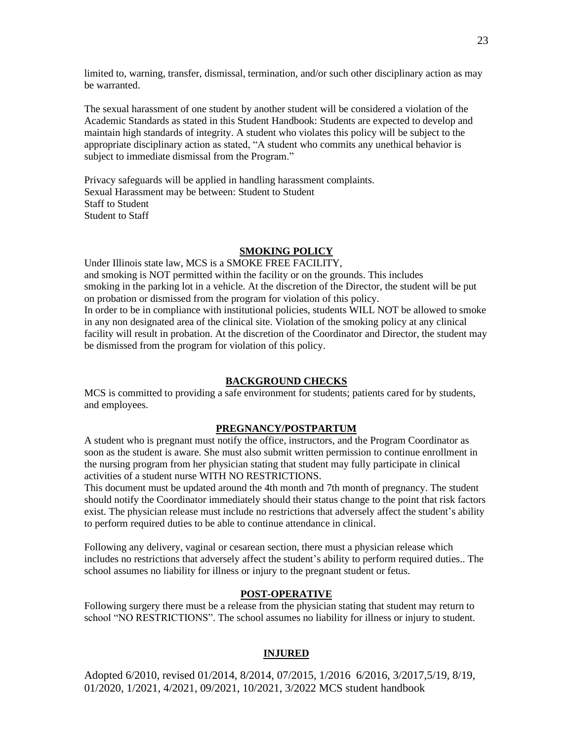limited to, warning, transfer, dismissal, termination, and/or such other disciplinary action as may be warranted.

The sexual harassment of one student by another student will be considered a violation of the Academic Standards as stated in this Student Handbook: Students are expected to develop and maintain high standards of integrity. A student who violates this policy will be subject to the appropriate disciplinary action as stated, "A student who commits any unethical behavior is subject to immediate dismissal from the Program."

Privacy safeguards will be applied in handling harassment complaints. Sexual Harassment may be between: Student to Student Staff to Student Student to Staff

#### **SMOKING POLICY**

Under Illinois state law, MCS is a SMOKE FREE FACILITY, and smoking is NOT permitted within the facility or on the grounds. This includes smoking in the parking lot in a vehicle. At the discretion of the Director, the student will be put on probation or dismissed from the program for violation of this policy. In order to be in compliance with institutional policies, students WILL NOT be allowed to smoke in any non designated area of the clinical site. Violation of the smoking policy at any clinical facility will result in probation. At the discretion of the Coordinator and Director, the student may be dismissed from the program for violation of this policy.

#### **BACKGROUND CHECKS**

MCS is committed to providing a safe environment for students; patients cared for by students, and employees.

#### **PREGNANCY/POSTPARTUM**

A student who is pregnant must notify the office, instructors, and the Program Coordinator as soon as the student is aware. She must also submit written permission to continue enrollment in the nursing program from her physician stating that student may fully participate in clinical activities of a student nurse WITH NO RESTRICTIONS.

This document must be updated around the 4th month and 7th month of pregnancy. The student should notify the Coordinator immediately should their status change to the point that risk factors exist. The physician release must include no restrictions that adversely affect the student's ability to perform required duties to be able to continue attendance in clinical.

Following any delivery, vaginal or cesarean section, there must a physician release which includes no restrictions that adversely affect the student's ability to perform required duties.. The school assumes no liability for illness or injury to the pregnant student or fetus.

#### **POST-OPERATIVE**

Following surgery there must be a release from the physician stating that student may return to school "NO RESTRICTIONS". The school assumes no liability for illness or injury to student.

#### **INJURED**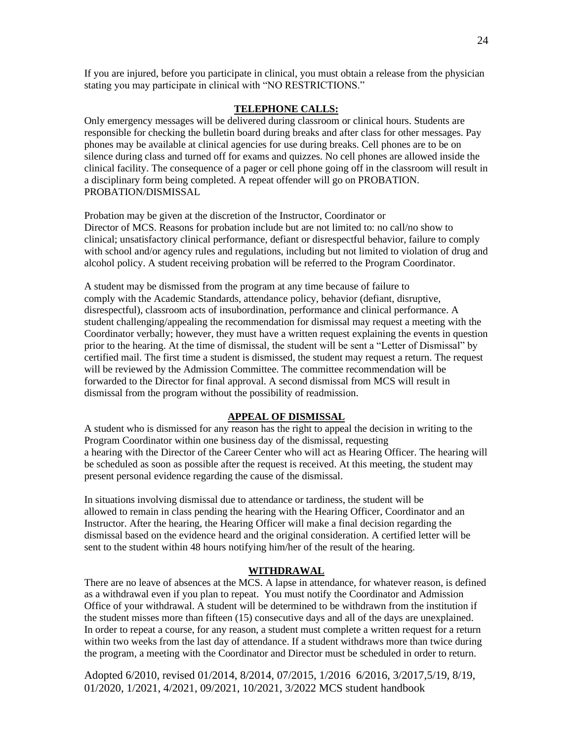If you are injured, before you participate in clinical, you must obtain a release from the physician stating you may participate in clinical with "NO RESTRICTIONS."

#### **TELEPHONE CALLS:**

Only emergency messages will be delivered during classroom or clinical hours. Students are responsible for checking the bulletin board during breaks and after class for other messages. Pay phones may be available at clinical agencies for use during breaks. Cell phones are to be on silence during class and turned off for exams and quizzes. No cell phones are allowed inside the clinical facility. The consequence of a pager or cell phone going off in the classroom will result in a disciplinary form being completed. A repeat offender will go on PROBATION. PROBATION/DISMISSAL

Probation may be given at the discretion of the Instructor, Coordinator or Director of MCS. Reasons for probation include but are not limited to: no call/no show to clinical; unsatisfactory clinical performance, defiant or disrespectful behavior, failure to comply with school and/or agency rules and regulations, including but not limited to violation of drug and alcohol policy. A student receiving probation will be referred to the Program Coordinator.

A student may be dismissed from the program at any time because of failure to comply with the Academic Standards, attendance policy, behavior (defiant, disruptive, disrespectful), classroom acts of insubordination, performance and clinical performance. A student challenging/appealing the recommendation for dismissal may request a meeting with the Coordinator verbally; however, they must have a written request explaining the events in question prior to the hearing. At the time of dismissal, the student will be sent a "Letter of Dismissal" by certified mail. The first time a student is dismissed, the student may request a return. The request will be reviewed by the Admission Committee. The committee recommendation will be forwarded to the Director for final approval. A second dismissal from MCS will result in dismissal from the program without the possibility of readmission.

#### **APPEAL OF DISMISSAL**

A student who is dismissed for any reason has the right to appeal the decision in writing to the Program Coordinator within one business day of the dismissal, requesting a hearing with the Director of the Career Center who will act as Hearing Officer. The hearing will be scheduled as soon as possible after the request is received. At this meeting, the student may present personal evidence regarding the cause of the dismissal.

In situations involving dismissal due to attendance or tardiness, the student will be allowed to remain in class pending the hearing with the Hearing Officer, Coordinator and an Instructor. After the hearing, the Hearing Officer will make a final decision regarding the dismissal based on the evidence heard and the original consideration. A certified letter will be sent to the student within 48 hours notifying him/her of the result of the hearing.

#### **WITHDRAWAL**

There are no leave of absences at the MCS. A lapse in attendance, for whatever reason, is defined as a withdrawal even if you plan to repeat. You must notify the Coordinator and Admission Office of your withdrawal. A student will be determined to be withdrawn from the institution if the student misses more than fifteen (15) consecutive days and all of the days are unexplained. In order to repeat a course, for any reason, a student must complete a written request for a return within two weeks from the last day of attendance. If a student withdraws more than twice during the program, a meeting with the Coordinator and Director must be scheduled in order to return.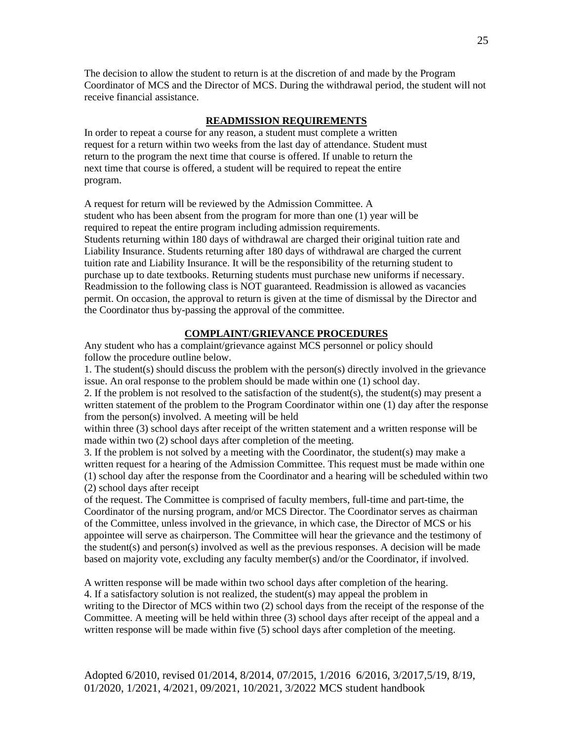The decision to allow the student to return is at the discretion of and made by the Program Coordinator of MCS and the Director of MCS. During the withdrawal period, the student will not receive financial assistance.

#### **READMISSION REQUIREMENTS**

In order to repeat a course for any reason, a student must complete a written request for a return within two weeks from the last day of attendance. Student must return to the program the next time that course is offered. If unable to return the next time that course is offered, a student will be required to repeat the entire program.

A request for return will be reviewed by the Admission Committee. A student who has been absent from the program for more than one (1) year will be required to repeat the entire program including admission requirements. Students returning within 180 days of withdrawal are charged their original tuition rate and Liability Insurance. Students returning after 180 days of withdrawal are charged the current tuition rate and Liability Insurance. It will be the responsibility of the returning student to purchase up to date textbooks. Returning students must purchase new uniforms if necessary. Readmission to the following class is NOT guaranteed. Readmission is allowed as vacancies permit. On occasion, the approval to return is given at the time of dismissal by the Director and the Coordinator thus by-passing the approval of the committee.

#### **COMPLAINT/GRIEVANCE PROCEDURES**

Any student who has a complaint/grievance against MCS personnel or policy should follow the procedure outline below.

1. The student(s) should discuss the problem with the person(s) directly involved in the grievance issue. An oral response to the problem should be made within one (1) school day.

2. If the problem is not resolved to the satisfaction of the student(s), the student(s) may present a written statement of the problem to the Program Coordinator within one (1) day after the response from the person(s) involved. A meeting will be held

within three (3) school days after receipt of the written statement and a written response will be made within two (2) school days after completion of the meeting.

3. If the problem is not solved by a meeting with the Coordinator, the student(s) may make a written request for a hearing of the Admission Committee. This request must be made within one (1) school day after the response from the Coordinator and a hearing will be scheduled within two (2) school days after receipt

of the request. The Committee is comprised of faculty members, full-time and part-time, the Coordinator of the nursing program, and/or MCS Director. The Coordinator serves as chairman of the Committee, unless involved in the grievance, in which case, the Director of MCS or his appointee will serve as chairperson. The Committee will hear the grievance and the testimony of the student(s) and person(s) involved as well as the previous responses. A decision will be made based on majority vote, excluding any faculty member(s) and/or the Coordinator, if involved.

A written response will be made within two school days after completion of the hearing. 4. If a satisfactory solution is not realized, the student(s) may appeal the problem in writing to the Director of MCS within two (2) school days from the receipt of the response of the Committee. A meeting will be held within three (3) school days after receipt of the appeal and a written response will be made within five (5) school days after completion of the meeting.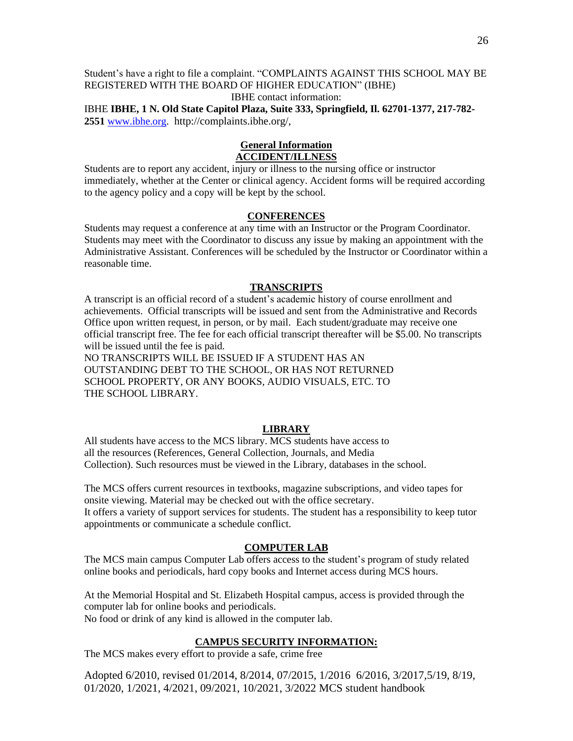Student's have a right to file a complaint. "COMPLAINTS AGAINST THIS SCHOOL MAY BE REGISTERED WITH THE BOARD OF HIGHER EDUCATION" (IBHE) IBHE contact information:

IBHE **IBHE, 1 N. Old State Capitol Plaza, Suite 333, Springfield, Il. 62701-1377, 217-782- 2551** [www.ibhe.org.](http://www.ibhe.org/) http://complaints.ibhe.org/,

#### **General Information ACCIDENT/ILLNESS**

Students are to report any accident, injury or illness to the nursing office or instructor immediately, whether at the Center or clinical agency. Accident forms will be required according to the agency policy and a copy will be kept by the school.

#### **CONFERENCES**

Students may request a conference at any time with an Instructor or the Program Coordinator. Students may meet with the Coordinator to discuss any issue by making an appointment with the Administrative Assistant. Conferences will be scheduled by the Instructor or Coordinator within a reasonable time.

#### **TRANSCRIPTS**

A transcript is an official record of a student's academic history of course enrollment and achievements. Official transcripts will be issued and sent from the Administrative and Records Office upon written request, in person, or by mail. Each student/graduate may receive one official transcript free. The fee for each official transcript thereafter will be \$5.00. No transcripts will be issued until the fee is paid.

NO TRANSCRIPTS WILL BE ISSUED IF A STUDENT HAS AN OUTSTANDING DEBT TO THE SCHOOL, OR HAS NOT RETURNED SCHOOL PROPERTY, OR ANY BOOKS, AUDIO VISUALS, ETC. TO THE SCHOOL LIBRARY.

#### **LIBRARY**

All students have access to the MCS library. MCS students have access to all the resources (References, General Collection, Journals, and Media Collection). Such resources must be viewed in the Library, databases in the school.

The MCS offers current resources in textbooks, magazine subscriptions, and video tapes for onsite viewing. Material may be checked out with the office secretary. It offers a variety of support services for students. The student has a responsibility to keep tutor appointments or communicate a schedule conflict.

#### **COMPUTER LAB**

The MCS main campus Computer Lab offers access to the student's program of study related online books and periodicals, hard copy books and Internet access during MCS hours.

At the Memorial Hospital and St. Elizabeth Hospital campus, access is provided through the computer lab for online books and periodicals. No food or drink of any kind is allowed in the computer lab.

#### **CAMPUS SECURITY INFORMATION:**

The MCS makes every effort to provide a safe, crime free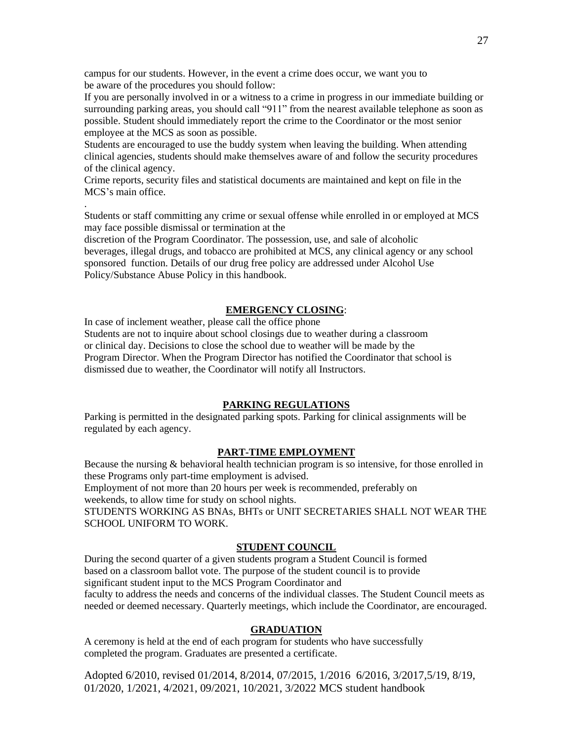campus for our students. However, in the event a crime does occur, we want you to be aware of the procedures you should follow:

If you are personally involved in or a witness to a crime in progress in our immediate building or surrounding parking areas, you should call "911" from the nearest available telephone as soon as possible. Student should immediately report the crime to the Coordinator or the most senior employee at the MCS as soon as possible.

Students are encouraged to use the buddy system when leaving the building. When attending clinical agencies, students should make themselves aware of and follow the security procedures of the clinical agency.

Crime reports, security files and statistical documents are maintained and kept on file in the MCS's main office.

.

Students or staff committing any crime or sexual offense while enrolled in or employed at MCS may face possible dismissal or termination at the

discretion of the Program Coordinator. The possession, use, and sale of alcoholic beverages, illegal drugs, and tobacco are prohibited at MCS, any clinical agency or any school sponsored function. Details of our drug free policy are addressed under Alcohol Use Policy/Substance Abuse Policy in this handbook.

#### **EMERGENCY CLOSING**:

In case of inclement weather, please call the office phone Students are not to inquire about school closings due to weather during a classroom or clinical day. Decisions to close the school due to weather will be made by the Program Director. When the Program Director has notified the Coordinator that school is dismissed due to weather, the Coordinator will notify all Instructors.

#### **PARKING REGULATIONS**

Parking is permitted in the designated parking spots. Parking for clinical assignments will be regulated by each agency.

#### **PART-TIME EMPLOYMENT**

Because the nursing & behavioral health technician program is so intensive, for those enrolled in these Programs only part-time employment is advised. Employment of not more than 20 hours per week is recommended, preferably on weekends, to allow time for study on school nights. STUDENTS WORKING AS BNAs, BHTs or UNIT SECRETARIES SHALL NOT WEAR THE SCHOOL UNIFORM TO WORK.

#### **STUDENT COUNCIL**

During the second quarter of a given students program a Student Council is formed based on a classroom ballot vote. The purpose of the student council is to provide significant student input to the MCS Program Coordinator and faculty to address the needs and concerns of the individual classes. The Student Council meets as needed or deemed necessary. Quarterly meetings, which include the Coordinator, are encouraged.

#### **GRADUATION**

A ceremony is held at the end of each program for students who have successfully completed the program. Graduates are presented a certificate.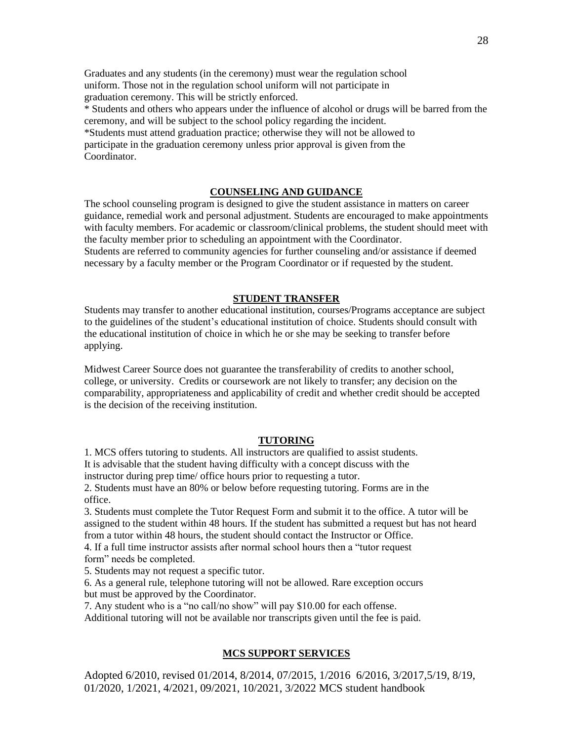Graduates and any students (in the ceremony) must wear the regulation school uniform. Those not in the regulation school uniform will not participate in graduation ceremony. This will be strictly enforced.

\* Students and others who appears under the influence of alcohol or drugs will be barred from the ceremony, and will be subject to the school policy regarding the incident. \*Students must attend graduation practice; otherwise they will not be allowed to participate in the graduation ceremony unless prior approval is given from the

Coordinator.

#### **COUNSELING AND GUIDANCE**

The school counseling program is designed to give the student assistance in matters on career guidance, remedial work and personal adjustment. Students are encouraged to make appointments with faculty members. For academic or classroom/clinical problems, the student should meet with the faculty member prior to scheduling an appointment with the Coordinator. Students are referred to community agencies for further counseling and/or assistance if deemed

necessary by a faculty member or the Program Coordinator or if requested by the student.

#### **STUDENT TRANSFER**

Students may transfer to another educational institution, courses/Programs acceptance are subject to the guidelines of the student's educational institution of choice. Students should consult with the educational institution of choice in which he or she may be seeking to transfer before applying.

Midwest Career Source does not guarantee the transferability of credits to another school, college, or university. Credits or coursework are not likely to transfer; any decision on the comparability, appropriateness and applicability of credit and whether credit should be accepted is the decision of the receiving institution.

#### **TUTORING**

1. MCS offers tutoring to students. All instructors are qualified to assist students. It is advisable that the student having difficulty with a concept discuss with the

instructor during prep time/ office hours prior to requesting a tutor.

2. Students must have an 80% or below before requesting tutoring. Forms are in the office.

3. Students must complete the Tutor Request Form and submit it to the office. A tutor will be assigned to the student within 48 hours. If the student has submitted a request but has not heard from a tutor within 48 hours, the student should contact the Instructor or Office.

4. If a full time instructor assists after normal school hours then a "tutor request form" needs be completed.

5. Students may not request a specific tutor.

6. As a general rule, telephone tutoring will not be allowed. Rare exception occurs but must be approved by the Coordinator.

7. Any student who is a "no call/no show" will pay \$10.00 for each offense.

Additional tutoring will not be available nor transcripts given until the fee is paid.

#### **MCS SUPPORT SERVICES**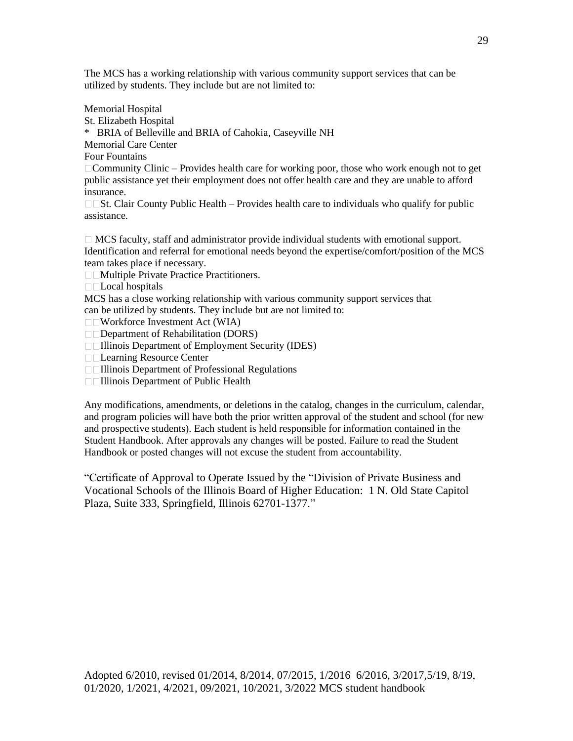The MCS has a working relationship with various community support services that can be utilized by students. They include but are not limited to:

Memorial Hospital

St. Elizabeth Hospital

\* BRIA of Belleville and BRIA of Cahokia, Caseyville NH

Memorial Care Center

Four Fountains

Community Clinic – Provides health care for working poor, those who work enough not to get public assistance yet their employment does not offer health care and they are unable to afford insurance.

 $\square$   $\square$ St. Clair County Public Health – Provides health care to individuals who qualify for public assistance.

 $\Box$  MCS faculty, staff and administrator provide individual students with emotional support. Identification and referral for emotional needs beyond the expertise/comfort/position of the MCS team takes place if necessary.

□□Multiple Private Practice Practitioners.

□□Local hospitals

MCS has a close working relationship with various community support services that can be utilized by students. They include but are not limited to:

Workforce Investment Act (WIA)

Department of Rehabilitation (DORS)

**Illinois Department of Employment Security (IDES)** 

Learning Resource Center

Illinois Department of Professional Regulations

□□Illinois Department of Public Health

Any modifications, amendments, or deletions in the catalog, changes in the curriculum, calendar, and program policies will have both the prior written approval of the student and school (for new and prospective students). Each student is held responsible for information contained in the Student Handbook. After approvals any changes will be posted. Failure to read the Student Handbook or posted changes will not excuse the student from accountability.

"Certificate of Approval to Operate Issued by the "Division of Private Business and Vocational Schools of the Illinois Board of Higher Education: 1 N. Old State Capitol Plaza, Suite 333, Springfield, Illinois 62701-1377."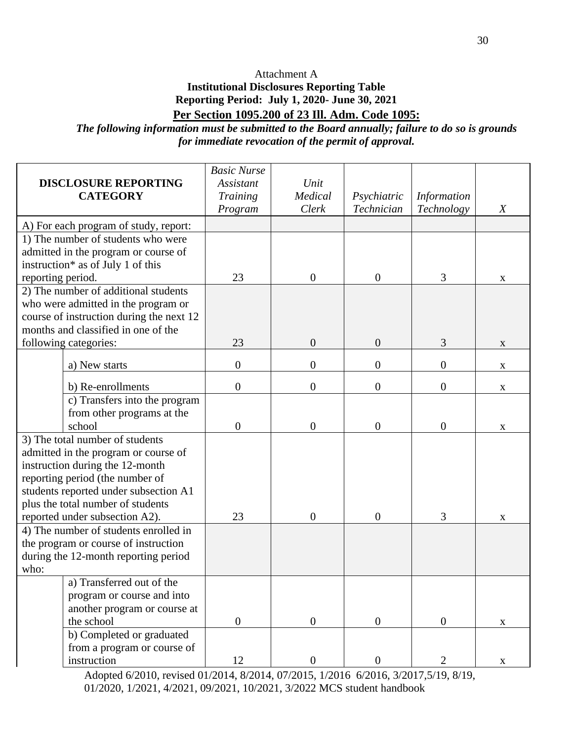### Attachment A

## **Institutional Disclosures Reporting Table Reporting Period: July 1, 2020- June 30, 2021 Per Section 1095.200 of 23 Ill. Adm. Code 1095:**

*The following information must be submitted to the Board annually; failure to do so is grounds for immediate revocation of the permit of approval.*

|                                                            | <b>DISCLOSURE REPORTING</b>              | <b>Basic Nurse</b><br>Assistant | Unit             |                  |                    |                  |
|------------------------------------------------------------|------------------------------------------|---------------------------------|------------------|------------------|--------------------|------------------|
| <b>CATEGORY</b>                                            |                                          | Training                        | Medical          | Psychiatric      | <b>Information</b> |                  |
|                                                            |                                          | Program                         | Clerk            | Technician       | Technology         | $\boldsymbol{X}$ |
|                                                            | A) For each program of study, report:    |                                 |                  |                  |                    |                  |
|                                                            | 1) The number of students who were       |                                 |                  |                  |                    |                  |
|                                                            | admitted in the program or course of     |                                 |                  |                  |                    |                  |
|                                                            | instruction* as of July 1 of this        |                                 |                  |                  |                    |                  |
| reporting period.                                          |                                          | 23                              | $\boldsymbol{0}$ | $\theta$         | 3                  | $\mathbf{X}$     |
|                                                            | 2) The number of additional students     |                                 |                  |                  |                    |                  |
|                                                            | who were admitted in the program or      |                                 |                  |                  |                    |                  |
|                                                            | course of instruction during the next 12 |                                 |                  |                  |                    |                  |
|                                                            | months and classified in one of the      |                                 |                  |                  |                    |                  |
|                                                            | following categories:                    | 23                              | $\boldsymbol{0}$ | $\boldsymbol{0}$ | 3                  | X                |
|                                                            | a) New starts                            | $\boldsymbol{0}$                | $\boldsymbol{0}$ | $\boldsymbol{0}$ | $\boldsymbol{0}$   | X                |
|                                                            | b) Re-enrollments                        | $\boldsymbol{0}$                | $\boldsymbol{0}$ | $\overline{0}$   | $\boldsymbol{0}$   | $\mathbf X$      |
|                                                            | c) Transfers into the program            |                                 |                  |                  |                    |                  |
|                                                            | from other programs at the               |                                 |                  |                  |                    |                  |
|                                                            | school                                   | $\boldsymbol{0}$                | $\boldsymbol{0}$ | $\overline{0}$   | $\boldsymbol{0}$   | X                |
|                                                            | 3) The total number of students          |                                 |                  |                  |                    |                  |
|                                                            | admitted in the program or course of     |                                 |                  |                  |                    |                  |
|                                                            | instruction during the 12-month          |                                 |                  |                  |                    |                  |
|                                                            | reporting period (the number of          |                                 |                  |                  |                    |                  |
|                                                            | students reported under subsection A1    |                                 |                  |                  |                    |                  |
|                                                            | plus the total number of students        |                                 |                  |                  |                    |                  |
|                                                            | reported under subsection A2).           | 23                              | $\theta$         | $\mathbf{0}$     | 3                  | X                |
|                                                            | 4) The number of students enrolled in    |                                 |                  |                  |                    |                  |
|                                                            | the program or course of instruction     |                                 |                  |                  |                    |                  |
| during the 12-month reporting period                       |                                          |                                 |                  |                  |                    |                  |
| who:                                                       |                                          |                                 |                  |                  |                    |                  |
|                                                            | a) Transferred out of the                |                                 |                  |                  |                    |                  |
| program or course and into<br>another program or course at |                                          |                                 |                  |                  |                    |                  |
|                                                            |                                          |                                 |                  |                  |                    |                  |
|                                                            | the school                               | $\boldsymbol{0}$                | $\boldsymbol{0}$ | $\overline{0}$   | $\boldsymbol{0}$   | $\mathbf X$      |
|                                                            | b) Completed or graduated                |                                 |                  |                  |                    |                  |
|                                                            | from a program or course of              |                                 |                  |                  |                    |                  |
|                                                            | instruction                              | 12                              | $\boldsymbol{0}$ | $\mathbf{0}$     | $\overline{2}$     | X                |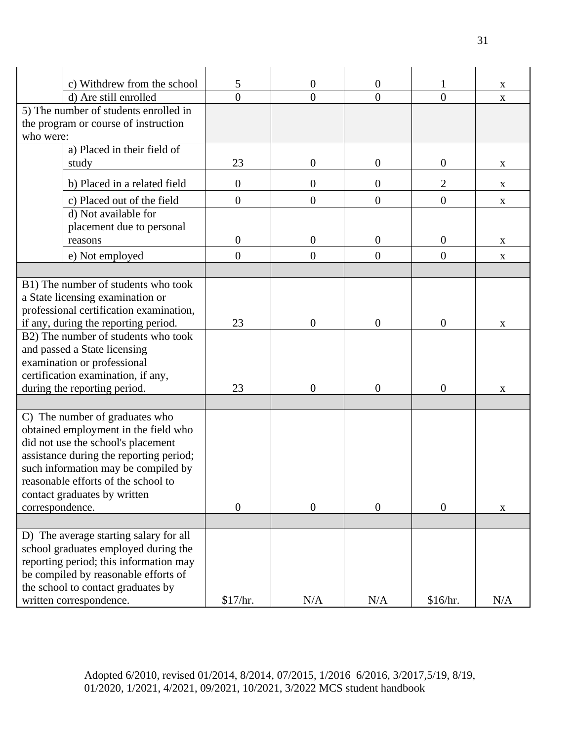|                                        | c) Withdrew from the school             | 5                | $\overline{0}$   | $\boldsymbol{0}$ |                  | $\mathbf X$               |
|----------------------------------------|-----------------------------------------|------------------|------------------|------------------|------------------|---------------------------|
|                                        | d) Are still enrolled                   | $\overline{0}$   | $\overline{0}$   | $\overline{0}$   | $\overline{0}$   | $\mathbf X$               |
|                                        | 5) The number of students enrolled in   |                  |                  |                  |                  |                           |
|                                        | the program or course of instruction    |                  |                  |                  |                  |                           |
| who were:                              |                                         |                  |                  |                  |                  |                           |
|                                        | a) Placed in their field of             |                  |                  |                  |                  |                           |
|                                        | study                                   | 23               | $\boldsymbol{0}$ | $\boldsymbol{0}$ | 0                | X                         |
|                                        | b) Placed in a related field            | $\boldsymbol{0}$ | $\overline{0}$   | $\overline{0}$   | $\overline{2}$   | X                         |
|                                        | c) Placed out of the field              | $\boldsymbol{0}$ | $\overline{0}$   | $\boldsymbol{0}$ | $\boldsymbol{0}$ | $\boldsymbol{\mathrm{X}}$ |
|                                        | d) Not available for                    |                  |                  |                  |                  |                           |
|                                        | placement due to personal               |                  |                  |                  |                  |                           |
|                                        | reasons                                 | $\boldsymbol{0}$ | $\boldsymbol{0}$ | $\overline{0}$   | $\boldsymbol{0}$ | X                         |
|                                        | e) Not employed                         | $\boldsymbol{0}$ | $\overline{0}$   | $\overline{0}$   | $\overline{0}$   | $\mathbf X$               |
|                                        |                                         |                  |                  |                  |                  |                           |
|                                        | B1) The number of students who took     |                  |                  |                  |                  |                           |
|                                        | a State licensing examination or        |                  |                  |                  |                  |                           |
|                                        | professional certification examination, |                  |                  |                  |                  |                           |
|                                        | if any, during the reporting period.    | 23               | $\overline{0}$   | $\overline{0}$   | $\overline{0}$   | X                         |
|                                        | B2) The number of students who took     |                  |                  |                  |                  |                           |
|                                        | and passed a State licensing            |                  |                  |                  |                  |                           |
|                                        | examination or professional             |                  |                  |                  |                  |                           |
|                                        | certification examination, if any,      |                  |                  |                  |                  |                           |
|                                        | during the reporting period.            | 23               | $\boldsymbol{0}$ | $\overline{0}$   | 0                | X                         |
|                                        |                                         |                  |                  |                  |                  |                           |
| C) The number of graduates who         |                                         |                  |                  |                  |                  |                           |
|                                        | obtained employment in the field who    |                  |                  |                  |                  |                           |
|                                        | did not use the school's placement      |                  |                  |                  |                  |                           |
|                                        | assistance during the reporting period; |                  |                  |                  |                  |                           |
|                                        | such information may be compiled by     |                  |                  |                  |                  |                           |
| reasonable efforts of the school to    |                                         |                  |                  |                  |                  |                           |
| contact graduates by written           |                                         |                  |                  |                  |                  |                           |
| correspondence.                        |                                         | $\boldsymbol{0}$ | $\overline{0}$   | $\boldsymbol{0}$ | $\boldsymbol{0}$ | $\mathbf X$               |
|                                        |                                         |                  |                  |                  |                  |                           |
| D) The average starting salary for all |                                         |                  |                  |                  |                  |                           |
|                                        | school graduates employed during the    |                  |                  |                  |                  |                           |
|                                        | reporting period; this information may  |                  |                  |                  |                  |                           |
|                                        | be compiled by reasonable efforts of    |                  |                  |                  |                  |                           |
|                                        | the school to contact graduates by      |                  |                  |                  |                  |                           |
|                                        | written correspondence.                 | \$17/hr.         | N/A              | N/A              | \$16/hr.         | N/A                       |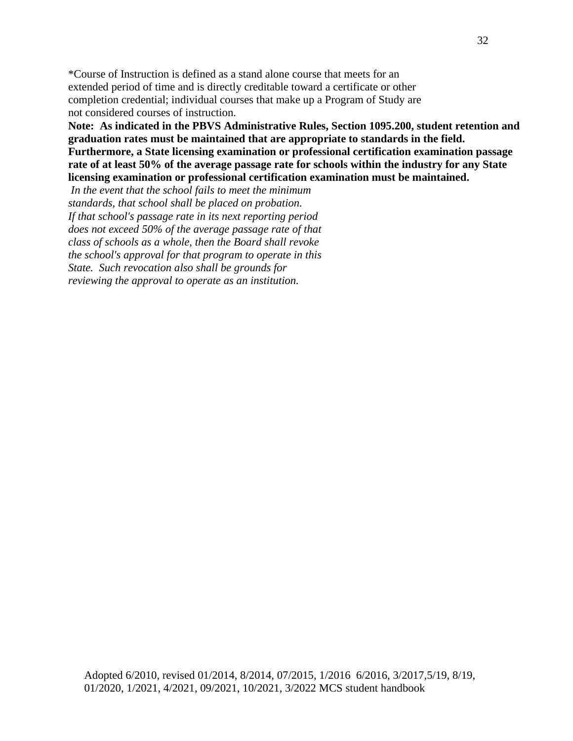\*Course of Instruction is defined as a stand alone course that meets for an extended period of time and is directly creditable toward a certificate or other completion credential; individual courses that make up a Program of Study are not considered courses of instruction.

**Note: As indicated in the PBVS Administrative Rules, Section 1095.200, student retention and graduation rates must be maintained that are appropriate to standards in the field. Furthermore, a State licensing examination or professional certification examination passage rate of at least 50% of the average passage rate for schools within the industry for any State licensing examination or professional certification examination must be maintained.**

*In the event that the school fails to meet the minimum standards, that school shall be placed on probation. If that school's passage rate in its next reporting period does not exceed 50% of the average passage rate of that class of schools as a whole, then the Board shall revoke the school's approval for that program to operate in this State. Such revocation also shall be grounds for reviewing the approval to operate as an institution.*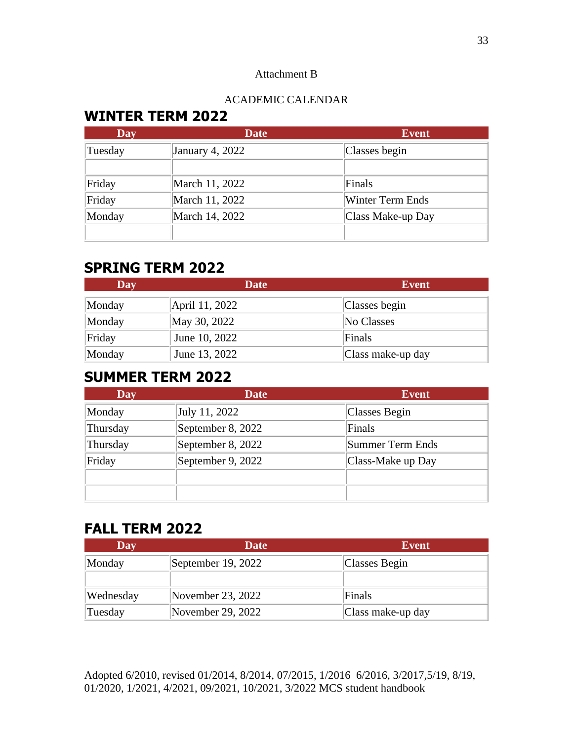### Attachment B

# ACADEMIC CALENDAR

# **WINTER TERM 2022**

| <b>Day</b> | <b>Date</b>     | <b>Event</b>            |
|------------|-----------------|-------------------------|
| Tuesday    | January 4, 2022 | Classes begin           |
| Friday     | March 11, 2022  | Finals                  |
| Friday     | March 11, 2022  | <b>Winter Term Ends</b> |
| Monday     | March 14, 2022  | Class Make-up Day       |
|            |                 |                         |

# **SPRING TERM 2022**

| Day    | Date           | <b>Event</b>      |
|--------|----------------|-------------------|
| Monday | April 11, 2022 | Classes begin     |
| Monday | May 30, 2022   | No Classes        |
| Friday | June 10, 2022  | Finals            |
| Monday | June 13, 2022  | Class make-up day |

# **SUMMER TERM 2022**

| <b>Day</b> | Date              | <b>Event</b>      |
|------------|-------------------|-------------------|
| Monday     | July 11, 2022     | Classes Begin     |
| Thursday   | September 8, 2022 | Finals            |
| Thursday   | September 8, 2022 | Summer Term Ends  |
| Friday     | September 9, 2022 | Class-Make up Day |
|            |                   |                   |
|            |                   |                   |

# **FALL TERM 2022**

| Day       | Date                | <b>Event</b>      |
|-----------|---------------------|-------------------|
| Monday    | September 19, 2022  | Classes Begin     |
|           |                     |                   |
| Wednesday | November 23, 2022   | Finals            |
| Tuesday   | November 29, $2022$ | Class make-up day |